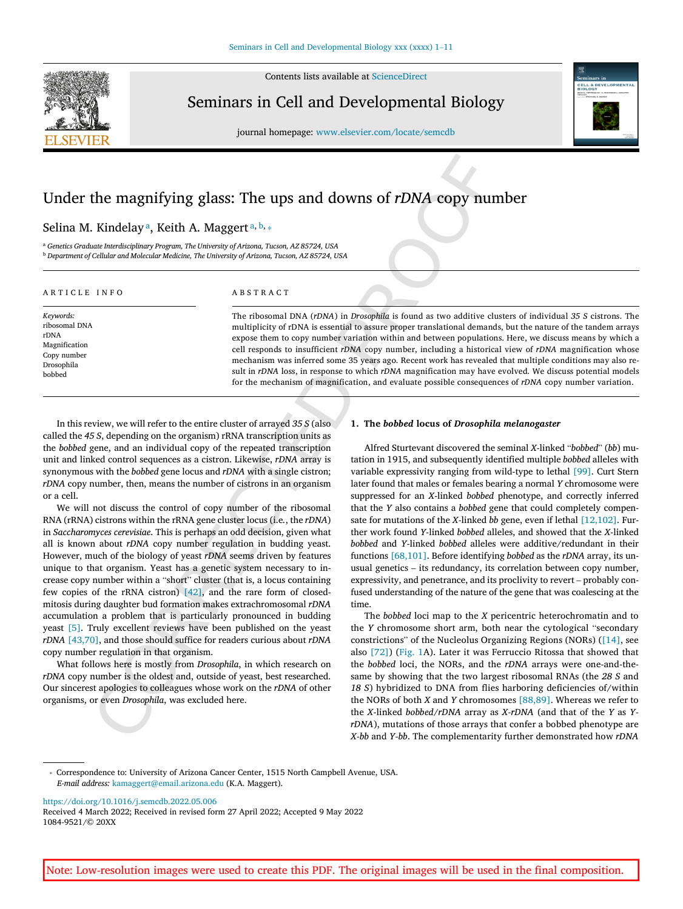

Contents list s availabl e at [ScienceDirec](https://www.sciencedirect.com/science/journal/10849521) t

Seminars in Cell and Developmental Biology

journal homepage: [www.elsevier.com/locate/semcdb](https://www.elsevier.com/locate/semcdb)



# Under the magnifying glass: The ups and downs of *rDNA* copy number

# Selin[a](#page-0-0) M. Kindelaya, Keith A. Maggerta, [b](#page-0-1),  $_{\rm *}$

<span id="page-0-1"></span><span id="page-0-0"></span><sup>a</sup> *Genetics Graduate Interdisciplinary Program, Th e University of Arizona, Tucson, AZ 85724, USA* <sup>b</sup> *Department of Cellular an d Molecula r Medicine, Th e University of Arizona, Tucson, AZ 85724, USA*

#### ARTICLE INFO

ABSTRACT

*Keywords :* ribosoma l DN A rDNA Ma gnification Copy nu mbe r Drosophila bobbed

The ribosomal DNA (*rDNA*) in *Drosophila* is found as two additive clusters of individual 35 S cistrons. The multiplicity of rDNA is essential to assure proper translational demands, but the nature of the tandem arrays expose them to copy number variation within and between populations. Here, we discuss means by which a cell responds to insufficient *rDNA* copy number, including a historical view of *rDNA* magnification whose mech anism wa s inferred some 35 year s ago. Recent work ha s revealed that mu ltipl e co ndition s ma y also re sult in *rDNA* loss, in response to which *rDNA* magnification may have evolved. We discuss potential models for the mechanism of magnification, and evaluate possible consequences of *rDNA* copy number variation.

In this review , we will refe r to th e entire cluste r of arraye d *35 S* (als o called th e *45 S* , dependin g on th e orga nism) rRNA transcri ption unit s as th e *bobbed* gene , an d an indivi dua l copy of th e repeated transcri ption unit an d linked co ntrol sequence s as a cistron. Likewise , *rDNA* arra y is sy non ymous with th e *bobbed* gene locu s an d *rDNA* with a si ngl e cistron; *rDNA* copy number, then, means the number of cistrons in an organism or a cell .

The magnifying glass: The ups and downs of rDNA copy numbe<br>
Kindelay<sup>a</sup>, Keith A. Maggert<sup>14</sup><sup>k, k</sup>.<br>
Kindelay<sup>a</sup>, Keith A. Maggert<sup>14</sup>k, <sup>k</sup>.<br>
Colume aristotic stress of the control of the control of the control of the c We will no t di scuss th e co ntrol of copy nu mbe r of th e ribosoma l RN A (rRNA) cistrons within th e rRNA gene cluste r locu s (i.e *.* , th e *rDNA* ) in *Sa cch aromyce s cerevisiae* . This is pe rhaps an od d decision , give n what al l is know n abou t *rDNA* copy nu mbe r re g ulation in bu dding yeast. However, much of the biology of yeast *rDNA* seems driven by features unique to that orga nism. Yeas t ha s a geneti c sy ste m ne cessary to in crease copy nu mbe r within a " short " cluste r (tha t is , a locu s co ntainin g fe w copies of th e rRNA cistron) [42] , an d th e rare form of closed mitosi s du rin g daug hte r bu d fo rmation make s extr achromosoma l *rDNA* accumulation a problem that is particularly pronounced in budding yeast [\[5](#page-7-0)]. Truly excellent reviews have been published on the yeast *rDNA* [\[43,70](#page-8-1) ] , an d thos e should su ffice fo r reader s curiou s abou t *rDNA* copy nu mbe r re g ulation in that orga nism.

What fo llows here is mostly from *Drosophila* , in whic h research on *rDNA* copy number is the oldest and, outside of yeast, best researched. Our sincerest apologies to colleagues whose work on the *rDNA* of other orga nisms , or even *Drosophila* , wa s excluded here .

#### **1 . Th e** *bobbed* **locu s of** *Drosophila melanogaster*

Alfred Sturtevant di sco vered th e se m ina l *X*-linked "*bobbed* " (*bb* ) mu tation in 1915 , an d su bsequentl y identified mu ltipl e *bobbed* allele s with variable expressivity ranging from wild-type to lethal [\[99\]](#page-9-0). Curt Stern late r foun d that male s or female s bearin g a no rma l *Y* chromosome were su ppresse d fo r an *X*-linked *bobbed* ph enotype , an d co rrectly inferred that the *Y* also contains a *bobbed* gene that could completely compensate for mutations of the *X*-linked *bb* gene, even if lethal [\[12,102\]](#page-9-1). Further work foun d *Y*-linked *bobbed* alleles, an d showed that th e *X*-linked *bobbed* an d *Y*-linked *bobbed* allele s were additive /redu ndant in thei r function s [\[68,101\]](#page-9-2) . Before identifyin g *bobbed* as th e *rDNA* array, it s un usua l gene tic s – it s redu ndancy, it s co rrelation betwee n copy nu mber, expressivity, and penetrance, and its proclivity to revert – probably confused understanding of the nature of the gene that was coalescing at the time .

The *bobbed* loci map to the *X* pericentric heterochromatin and to the *Y* chromosome short arm, both near the cytological "secondary constrictions" of the Nucleolus Organizing Regions (NORs) [\(\[14\]](#page-7-1), see also [\[72\]](#page-8-2)) [\(Fig.](#page-1-0) 1A). Later it was Ferruccio Ritossa that showed that the *bobbed* loci, the NORs, and the *rDNA* arrays were one-and-thesame by showin g that th e tw o larges t ribosoma l RNAs (the *28 S* an d 18 S) hybridized to DNA from flies harboring deficiencies of/within th e NORs of both *X* an d *Y* chromosome s [\[88,89](#page-9-3) ] . Wherea s we refe r to th e *X* -linked *bobbed* /*rDNA* arra y as *X -rDNA* (and that of th e *Y* as *YrDNA*), mutations of those arrays that confer a bobbed phenotype are *X-bb* and *Y-bb*. The complementarity further demonstrated how *rDNA*

https://doi.org/10.1016/j.se[m](https://doi.org/10.1016/j.semcdb.2022.05.006)cdb.2022.05.006

Received 4 March 2022; Received in revised form 27 April 2022; Accepted 9 May 2022 1084 -9521 /© 20XX

<span id="page-0-2"></span><sup>⁎</sup> Correspondence to : University of Arizon a Cancer Center , 1515 Nort h Campbell Avenue , USA. *E -mail address:* [kamaggert@email.arizona.ed](mailto:kamaggert@email.arizona.edu) u (K.A . Maggert) .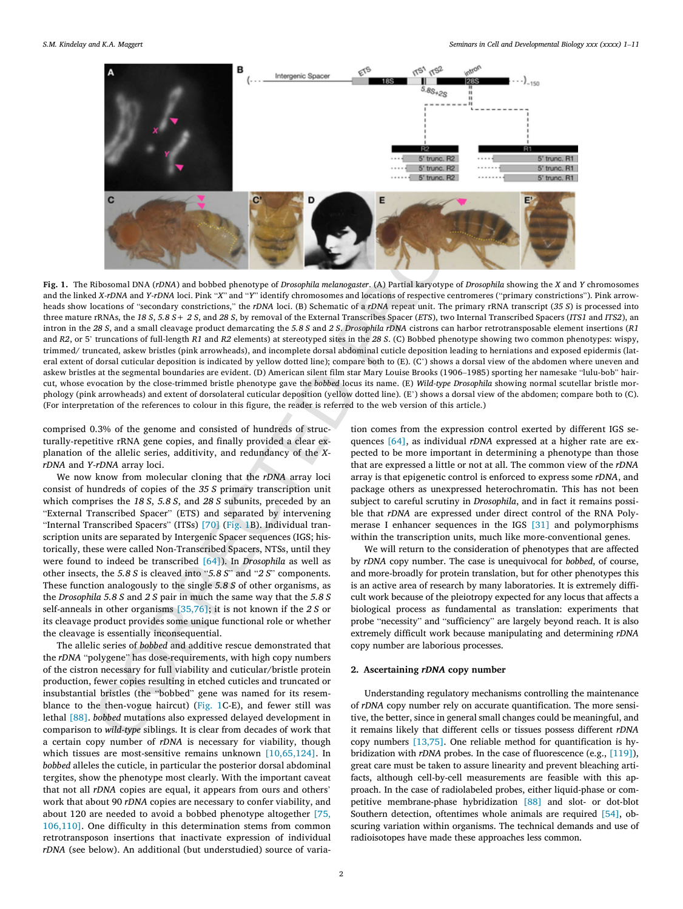<span id="page-1-0"></span>

States and FerMA and Papel and holded phonograp of Droughlin melangement (A) Particle are concerned to the A[C](#page-1-0)PMA and FerMA and FerMA and FerMA and FerMA and FerMA and FerMA and FerMA and FerMA and FerMA and FerMA and FerM **Fig. 1.** The Ribosomal DNA (*rDNA*) and bobbed phenotype of *Drosophila melanogaster.* (A) Partial karyotype of *Drosophila* showing the X and Y chromosomes and the linked *X-rDNA* and *Y-rDNA* loci. Pink "*X*" and "*Y*" identify chromosomes and locations of respective centromeres ("primary constrictions"). Pink arrowheads show locations of "secondary constrictions," the *rDNA* loci. (B) Schematic of a *rDNA* repeat unit. The primary rRNA transcript (*35 S*) is processed into three mature rRNAs, the 18 S, 5.8 S+ 2 S, and 28 S, by removal of the External Transcribes Spacer (ETS), two Internal Transcribed Spacers (ITS1 and ITS2), an intron in the 28 S, and a small cleavage product demarcating the 5.8 S and 2 S. Drosophila rDNA cistrons can harbor retrotransposable element insertions (R1  $\,$ and *R2*, or 5' truncations of full-length *R1* and *R2* elements) at stereotyped sites in the 28 S. (C) Bobbed phenotype showing two common phenotypes: wispy, trimmed/ truncated, askew bristles (pink arrowheads), and incomplete dorsal abdominal cuticle deposition leading to herniations and exposed epidermis (lateral extent of dorsal cuticular deposition is indicated by yellow dotted line); compare both to (E). (C') shows a dorsal view of the abdomen where uneven and askew bristles at the segmental boundaries are evident. (D) American silent film star Mary Louise Brooks (1906–1985) sporting her namesake "lulu-bob" haircut, whose evocation by the close-trimmed bristle phenotype gave the bobbed locus its name. (E) Wild*-type Drosophila* showing normal scutellar bristle morphology (pink arrowheads) and extent of dorsolateral cuticular deposition (yellow dotted line). (E') shows a dorsal view of the abdomen; compare both to (C). (For inte rpr etation of th e re ference s to colour in this fi gure, th e reader is referred to th e we b ve rsion of this article. )

comprised 0.3% of the genome and consisted of hundreds of structurally-repetitive rRNA gene copies, and finally provided a clear expl anation of th e alleli c series , additi vity, an d redu ndanc y of th e *X rDNA* an d *Y-rDNA* arra y loci .

We now know from molecular cloning that the *rDNA* array loci co nsist of hu ndred s of copies of th e *35 S* pr imary transcri ption unit whic h co mprises th e *18 S* , *5. 8 S* , an d *28 S* su bunits, pr ecede d by an " E xte rna l Transcribe d Spacer " (ETS ) an d se p arate d by inte rve nin g "Internal Transcribed Spacers" (ITSs) [70] (Fig. 1B). Individual transcri ption unit s ar e se p arate d by Inte rgeni c Spacer sequence s (IGS ; hi s to r ically, thes e were called No n -Transcribe d Spacers, NTSs , unti l they were foun d to indeed be transcribe d [64]). In *Drosophila* as well as othe r insects, th e *5. 8 S* is cleave d into "*5. 8 S* " an d " *2 S* " co mponents. Thes e function anal ogously to th e si ngl e *5. 8 S* of othe r orga nisms , as the *Drosophila* 5.8 *S* and 2 *S* pair in much the same way that the 5.8 *S* self-anneal s in othe r orga nisms [35,76 ] ; it is no t know n if th e *2 S* or its cleavage product provides some unique functional role or whether th e clea vag e is esse ntially inco nsequential .

Th e alleli c series of *bobbed* an d additive re scu e demo nstrate d that the *rDNA* "polygene" has dose-requirements, with high copy numbers of th e cistro n ne cessary fo r full vi abi lit y an d cuti c ular/bristl e pr otein pr odu ction , fewe r copies resultin g in etched cuticles an d truncate d or insu bstantial bristles (the " bobbe d " gene wa s name d fo r it s rese m blance to the then-vogue haircut) (Fig. 1C-E), and fewer still was lethal [\[88\]](#page-9-3) . *bobbed* mutation s also expresse d delaye d deve lopment in co mpa r iso n to *wild -type* si blings. It is clea r from decade s of work that a certain copy number of *rDNA* is necessary for viability, though which tissues are most-sensitive remains unknown [\[10,65](#page-7-3),124]. In *bobbed* alleles the cuticle, in particular the posterior dorsal abdominal te rgites, show th e ph enotype most clearly. With th e impo rtant caveat that not all *rDNA* copies are equal, it appears from ours and others' work that about 90 *rDNA* copies are necessary to confer viability, and abou t 12 0 ar e needed to avoi d a bobbed ph enotype altogether [\[75,](#page-9-4) [106,110\]](#page-9-4) . On e di fficult y in this dete rmination stem s from co mmo n retrotransposon insertions that inactivate expression of individual *rDNA* (see below). An additional (but understudied) source of variation come s from th e expression co ntrol exerte d by di ffe ren t IG S se - quences [\[64\]](#page-8-4), as individual *rDNA* expressed at a higher rate are expected to be more important in determining a phenotype than those that ar e expresse d a li ttl e or no t at all. Th e co mmo n view of th e *rDNA* array is that epigenetic control is enforced to express some *rDNA*, and packag e ot her s as unexpresse d he t erochromatin. This ha s no t been subject to careful scrutiny in *Drosophila*, and in fact it remains possible that *rDNA* are expressed under direct control of the RNA Polymerase I enhancer sequence s in th e IG S [\[31\]](#page-7-4) an d polymo rphisms within th e transcri ption units, much like more -conventional genes.

We will return to th e co nsi der ation of ph enotype s that ar e affected by *rDNA* copy number. The case is unequivocal for *bobbed*, of course, an d more -broadl y fo r pr otein tran slation , bu t fo r othe r ph enotype s this is an active area of research by many la b oratories . It is extremel y di ffi cult work becaus e of th e pleiotropy expected fo r an y locu s that affect s a bi olo g ica l proces s as fu ndame nta l as tran slation : expe r iment s that prob e " n ece ssity " an d " sufficiency " ar e largel y beyond reach. It is also extremel y di fficult work becaus e mani p ula tin g an d dete rmi nin g *rDNA* copy nu mbe r ar e laboriou s processes.

#### **2 . Ascertaining** *rDNA* **copy number**

Understanding regulatory mechanisms controlling the maintenance of *rDNA* copy number rely on accurate quantification. The more sensitive, the better, since in general small changes could be meaningful, and it remains likely that different cells or tissues possess different *rDNA* copy nu mbers [\[13,75](#page-7-5) ] . On e reliable method fo r quantification is hy bridization with *rDNA* probes. In the case of fluorescence (e.g., [\[119](#page-9-5)]), great care must be taken to assure linearity and prevent bleaching artifacts, although cell-by-cell measurements are feasible with this approach. In the case of radiolabeled probes, either liquid-phase or com-petitive membrane-phase hybridization [\[88\]](#page-9-3) and slot- or dot-blot Southern detection, oftentimes whole animals are required [\[54\]](#page-8-5), obscurin g vari ation within orga nisms . Th e technica l demand s an d us e of radioisotope s have made thes e approaches less co mmon.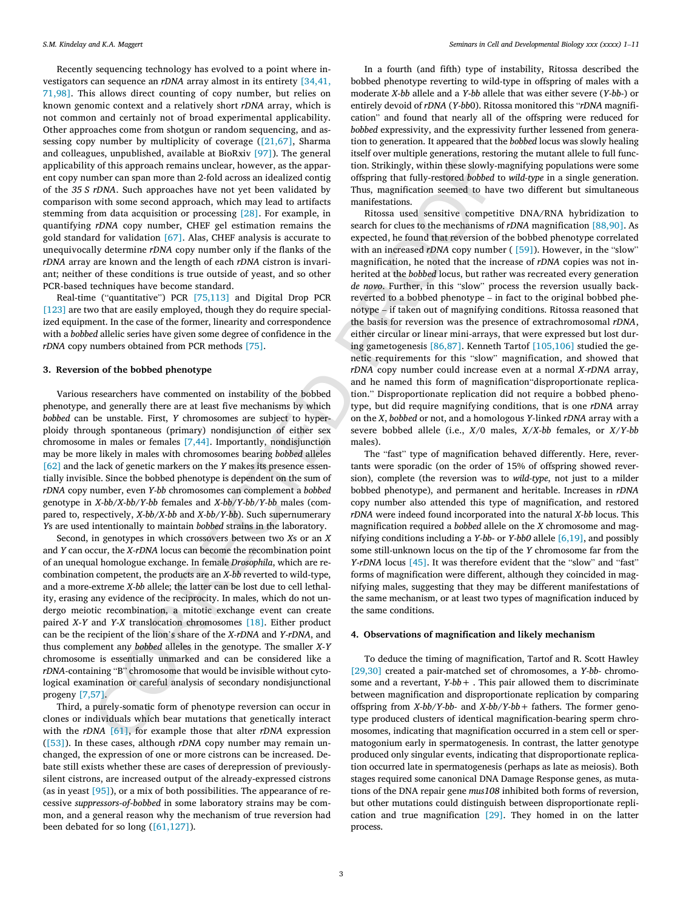Recently sequencing technology has evolved to a point where investigators can sequence an *rDNA* array almost in its entirety [\[34,41](#page-7-6), 71 [,98](#page-7-6) ] . This allows direct coun tin g of copy nu mber, bu t relies on known genomic context and a relatively short *rDNA* array, which is no t co mmo n an d ce rtainly no t of broa d expe r ime nta l applic abi lity. Othe r approaches come from shotgu n or ra ndo m sequen cing, an d as sessin g copy nu mbe r by mu ltiplicit y of co verag e [\(\[21,67](#page-7-7) ] , Sharma an d co lleagues, unpu blished , avai lable at BioRxi v [\[97\]\)](#page-9-6). Th e ge neral applic abi lit y of this approach remain s unclear, ho wever , as th e appa r en t copy nu mbe r ca n span more than 2 -fold across an id ealized co nti g of th e *35 S rDNA* . Such approaches have no t ye t been va l idate d by co mpa r iso n with some se con d approach , whic h ma y lead to artifact s stemming from data acquisition or processing [\[28\]](#page-7-8). For example, in quantifyin g *rDNA* copy nu mber, CHEF ge l estimation remain s th e gold standard fo r va l idation [\[67\]](#page-8-6) . Alas , CHEF anal ysi s is accurate to unequivocally determine *rDNA* copy number only if the flanks of the *rDNA* array are known and the length of each *rDNA* cistron is invariant; ne ither of thes e co ndition s is true ou tside of yeast, an d so othe r PC R -base d techniques have become standard .

Real-time ("quantitative") PCR [\[75,113\]](#page-9-7) and Digital Drop PCR [\[123](#page-9-8)] are two that are easily employed, though they do require specialized equipment. In the case of the former, linearity and correspondence with a *bobbed* allelic series have given some degree of confidence in the *rDNA* copy nu mbers obtained from PC R method s [\[75\]](#page-8-7) .

#### **3 . Reversio n of th e bobbed phenotyp e**

Va r iou s researcher s have co mmented on inst abi lit y of th e bobbed phenotype, and generally there are at least five mechanisms by which *bobbed* can be unstable. First, *Y* chromosomes are subject to hyperploidy throug h spontaneou s (primary ) nondisjunction of either se x chromosome in male s or female s [7 ,44 ] . Impo rtantly , nondisjunction ma y be more likely in male s with chromosome s bearin g *bobbed* allele s [\[62\]](#page-8-9) and the lack of genetic markers on the *Y* makes its presence essentially invisible. Since the bobbed phenotype is dependent on the sum of *rDNA* copy nu mber, even *Y-bb* chromosome s ca n co mpl ement a *bobbed* genotype in *X-bb/X-bb/Y-bb* females and *X-bb/Y-bb/Y-bb* males (compare d to , respectively , *X-bb* /*X-bb* an d *X-bb* / *Y-bb*). Such supe rnume rar y *Ys* are used intentionally to maintain *bobbed* strains in the laboratory.

Se cond, in genotype s in whic h crossovers betwee n tw o *X*s or an *X* an d *Y* ca n occur, th e *X-rDNA* locu s ca n become th e reco mbination poin t of an unequa l homologu e exchange . In female *Drosophila* , whic h ar e re co mbination co mpetent , th e products ar e an *X-bb* reverted to wild -type , and a more-extreme *X-bb* allele; the latter can be lost due to cell lethality, erasin g an y ev idenc e of th e re c iprocity. In males, whic h do no t un dergo meiotic recombination, a mitotic exchange event can create paired *X*-*Y* an d *Y*-*X* transl ocation chromosome s [18] . Either produc t can be the recipient of the lion's share of the *X-rDNA* and *Y-rDNA*, and thus co mpl ement an y *bobbed* allele s in th e genotype . Th e smalle r *X*-*Y* chromosome is esse ntially unmarked an d ca n be co nsi dered like a *rDNA*-containing "B" chromosome that would be invisible without cytolo g ica l exam ination or carefu l anal ysi s of se condary nondisjunctional progen y [7 ,57 ] .

Third, a purely -somati c form of ph enotype reve rsion ca n occu r in clones or individuals which bear mutations that genetically interact with th e *rDNA* [61] , fo r exampl e thos e that alte r *rDNA* expression ([\[53\]\)](#page-8-12). In these cases, although *rDNA* copy number may remain unchanged, th e expression of on e or more cistrons ca n be increased. De bate stil l exists whethe r thes e ar e case s of derepression of pr eviousl y silent cistrons , ar e increase d ou tpu t of th e alread y -expresse d cistrons (as in yeast  $[95]$ ), or a mix of both possibilities. The appearance of recessive suppressors-of-bobbed in some laboratory strains may be common, an d a ge neral re aso n wh y th e mech anism of true reve rsion ha d been debated for so long  $([61, 127])$ .

In a fourth (and fifth) type of instability, Ritossa described the bobbed phenotype reverting to wild-type in offspring of males with a moderate *X-bb* allele and a *Y-bb* allele that was either severe (*Y-bb-*) or entirely devoid of *rDNA* ( *Y-bb*0) . Ritoss a mo n itore d this "*rDNA* ma gnifi cation " an d foun d that nearly al l of th e offspring were reduce d fo r *bobbed* expressivity, and the expressivity further lessened from generation to generation. It appeared that the *bobbed* locus was slowly healing itself over mu ltipl e ge ner ations, restorin g th e mutant allele to full func tion . Stri kingly, within thes e slowly -magnifying po p ulation s were some offspring that fully-restored *bobbed* to *wild-type* in a single generation. Thus, magnification seemed to have two different but simultaneous ma n ife stations.

Les the means we make constraints the policies of the mean interest in the mean interest of the mean interest of the mean interest in the mean interest of the mean interest in the mean interest in the mean interest of the Ritossa used sensitive competitive DNA/RNA hybridization to search for clues to the mechanisms of *rDNA* magnification [\[88,90](#page-9-3)]. As expected , he foun d that reve rsion of th e bobbed ph enotype co rrelate d with an increased *rDNA* copy number ( [\[59\]\)](#page-8-13). However, in the "slow" magnification, he noted that the increase of *rDNA* copies was not inherited at the *bobbed* locus, but rather was recreated every generation *de novo.* Further, in this "slow" process the reversion usually backreverted to a bobbed phenotype – in fact to the original bobbed phenotype – if take n ou t of ma gnifyin g co nditions. Ritoss a re asone d that th e basi s fo r reve rsion wa s th e presence of extr achromosoma l *rDNA* , either circular or linear mini-arrays, that were expressed but lost dur-ing gametogenesis [86,87]. Kenneth Tartof [105[,106\]](#page-9-11) studied the geneti c requir ement s fo r this " slo w " ma gnification , an d showed that *rDNA* copy number could increase even at a normal *X-rDNA* array, an d he name d this form of ma gnification " dispr opo rtionat e repl ica tion." Disproportionate replication did not require a bobbed phenotype, but did require magnifying conditions, that is one *rDNA* array on th e *X* , *bobbed* or not, an d a homo l ogous *Y-*linked *rDNA* arra y with a severe bobbed allele (i.e., *X*/0 males, *X*/*X -bb* females, or *X*/ *Y-bb* males) .

The ''fast'' type of magnification behaved differently. Here, revertant s were sp oradi c (o n th e orde r of 15 % of offspring showed reve r sion), co mplet e (the reve rsion wa s to *wild -type* , no t just to a milder bobbed ph enotype), an d pe rmanent an d he r itable. Increase s in *rDNA* copy nu mbe r also attended this type of ma gnification , an d restored *rDNA* were indeed foun d inco rporate d into th e na tural *X-bb* locus. This ma gnification required a *bobbed* allele on th e *X* chromosome an d ma g nifyin g co ndition s includin g a *Y-bb* - or *Y-bb 0* allele [6 [,19](#page-7-10) ] , an d po ssibl y some stil l -unknow n locu s on th e ti p of th e *Y* chromosome fa r from th e *Y-rDNA* locus [\[45\]](#page-8-14). It was therefore evident that the "slow" and "fast" forms of magnification were different, although they coincided in magnifying males, suggesting that they may be different manifestations of th e same mech anism , or at leas t tw o type s of ma gnification induce d by th e same co nditions.

#### **4 . Observations of magnificatio n an d likely mechanis m**

To deduce the timing of magnification, Tartof and R. Scott Hawley [\[29,30](#page-7-11)] created a pair-matched set of chromosomes, a *Y-bb*- chromosome an d a reve rtant , *Y-bb +* . This pair allowe d them to di scrim inate between magnification and disproportionate replication by comparing offspring from *X-bb* / *Y-bb -* an d *X-bb* / *Y-bb +* fathers. Th e fo rme r geno type pr oduce d clusters of identica l ma gnification -bearin g sper m chro mosomes, indicating that magnification occurred in a stem cell or spermatogonium early in spermatogenesis. In contrast, the latter genotype produced only singular events, indicating that disproportionate replication occurred late in spermatogenesis (perhaps as late as meiosis). Both stages required some canonical DNA Damage Response genes, as mutations of the DNA repair gene mus108 inhibited both forms of reversion, but other mutations could distinguish between disproportionate repli-cation and true magnification [\[29\]](#page-7-11). They homed in on the latter process.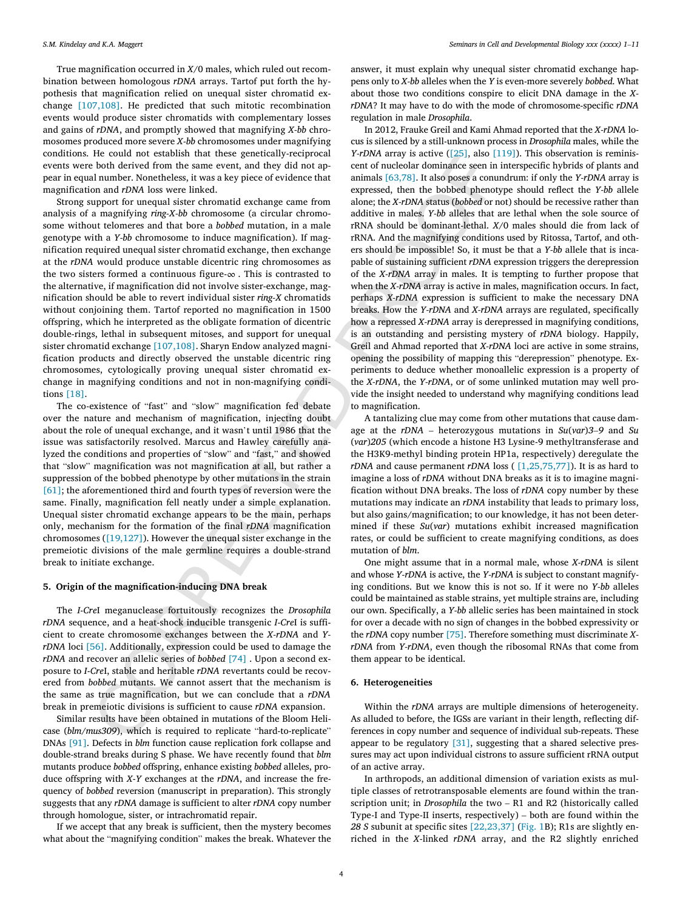True magnification occurred in *X/*0 males, which ruled out recombination between homologous *rDNA* arrays. Tartof put forth the hypoth esi s that ma gnification relied on unequa l si ste r chromati d ex change [107 [,108\]](#page-9-12) . He pr edicted that such mitoti c reco mbination events woul d pr oduce si ste r chromatids with co mpl eme ntary losses an d gain s of *rDNA* , an d promptly showed that ma gnifyin g *X -bb* chro mosome s pr oduce d more severe *X -bb* chromosome s unde r ma gnifyin g co nditions. He coul d no t esta blish that thes e gene t icall y -reciprocal events were both derive d from th e same event, an d they di d no t ap pear in equal number. Nonetheless, it was a key piece of evidence that ma gnification an d *rDNA* loss were linked .

Fush data team from the scan team spectral and the scale of the scale of the scale of the scale of the scale of the scale of the scale of the scale of the scale of the scale of the scale of the scale of the scale of the s Strong su pport fo r unequa l si ste r chromati d exchange came from analysis of a magnifying *ring-X-bb* chromosome (a circular chromosome withou t telo meres an d that bore a *bobbed* mutation , in a male genotype with a *Y-bb* chromosome to induce magnification). If magnification required unequa l si ste r chromati d exchange , then exchange at the *rDNA* would produce unstable dicentric ring chromosomes as the two sisters formed a continuous figure- $\infty$  . This is contrasted to the alternative, if magnification did not involve sister-exchange, magnification should be able to revert indivi dua l si ste r *ring - X* chromatids withou t co njoinin g them . Tartof reported no ma gnification in 1500 offspring , whic h he inte rpreted as th e obli gat e fo rmation of dice ntric double-rings, lethal in subsequent mitoses, and support for unequal sister chromatid exchange [107[,108\]](#page-9-12). Sharyn Endow analyzed magnification products an d directly observed th e unst abl e dice ntric ring chromosomes, cytologically proving unequal sister chromatid exchange in magnifying conditions and not in non-magnifying condition s [\[18\]](#page-7-9) .

Th e co -existenc e of " fas t " an d " slo w " ma gnification fe d debate over th e nature an d mech anism of ma gnification , injectin g doub t abou t th e role of unequa l exchange , an d it wa s n ' t unti l 1986 that th e issue was satisfactorily resolved. Marcus and Hawley carefully analyzed the conditions and properties of ''slow'' and ''fast,'' and showed that " slo w " ma gnification wa s no t ma gnification at all, bu t rather a su ppression of th e bobbed ph enotype by othe r mutation s in th e strain [\[61\]](#page-8-11); the aforementioned third and fourth types of reversion were the same. Finally, magnification fell neatly under a simple explanation. Unequa l si ste r chromati d exchange appear s to be th e main , pe rhaps only , mech anism fo r th e fo rmation of th e fina l *rDNA* ma gnification chromosome s ([19,127]). Ho wever th e unequa l si ste r exchange in th e premeiotic divisions of the male germline requires a double-strand break to initiate exchange.

## **5 . Origin of th e magnificatio n -inducing DN A brea k**

The *I-Cre*I meganuclease fortuitously recognizes the *Drosophila rDNA* sequence, and a heat-shock inducible transgenic *I-CreI* is sufficien t to cr eat e chromosome exchange s betwee n th e *X -rDNA* an d *YrDNA* loci [56]. Additionally, expression could be used to damage the *rDNA* and recover an allelic series of *bobbed* [74] . Upon a second exposure to *I-Cre*I, stable and heritable *rDNA* revertants could be recovered from *bobbed* mutants. We cannot assert that the mechanism is th e same as true ma gnification , bu t we ca n co nclud e that a *rDNA* brea k in pr eme iotic division s is su fficien t to caus e *rDNA* expa nsion .

Si m ila r result s have been obtained in mutation s of th e Bloo m Heli case (blm/mus309), which is required to replicate "hard-to-replicate" DNAs [\[91\]](#page-9-13). Defects in *blm* function cause replication fork collapse and do ubl e -strand breaks du rin g S phase. We have recently foun d that *bl m* mutant s pr oduce *bobbed* offspring , enhanc e exis tin g *bobbed* alleles, pr o duce offspring with *X*-*Y* exchange s at th e *rDNA* , an d increase th e fr e quency of *bobbed* reversion (manuscript in preparation). This strongly suggests that any *rDNA* damage is sufficient to alter *rDNA* copy number throug h homologue, si ster, or intr achromati d repair .

If we accept that an y brea k is su fficient, then th e my stery become s what abou t th e " magnifyin g co ndition " make s th e break. Whatever th e

answer , it must explai n wh y unequa l si ste r chromati d exchange ha p pens only to *X-bb* allele s when th e *Y* is even -more severely *bobbed* . What abou t thos e tw o co ndition s co nspir e to elicit DN A da mag e in th e *XrDNA*? It may have to do with the mode of chromosome-specific *rDNA* re g ulation in male *Drosophila* .

In 2012 , Frauke Grei l an d Kami Ahma d reported that th e *X-rDNA* lo cus is silenced by a still-unknown process in *Drosophila* males, while the *Y-rDNA* array is active  $([25],$  $([25],$  also  $[119]$  $[119]$ ). This observation is reminiscent of nucl e ola r do m inanc e seen in inte rsp ecifi c hybrid s of plants an d an imals [63,78 ] . It also pose s a conu ndrum : if only th e *Y-rDNA* arra y is expressed, then th e bobbed ph enotype should reflec t th e *Y-bb* allele alone; th e *X-rDNA* st atu s (*bobbed* or not) should be rece ssive rather than additive in males. *Y-bb* allele s that ar e lethal when th e sole source of rRNA should be do m inant -lethal . *X*/0 male s should di e from lack of rRNA . An d th e ma gnifyin g co ndition s used by Ritossa, Tartof, an d ot h er s should be impo ssible! So , it must be that a *Y-bb* allele that is inca pable of sustaining sufficient *rDNA* expression triggers the derepression of the *X-rDNA* array in males. It is tempting to further propose that when the *X-rDNA* array is active in males, magnification occurs. In fact, perhaps *X-rDNA* expression is sufficient to make the necessary DNA breaks. How the *Y-rDNA* and *X-rDNA* arrays are regulated, specifically how a repressed *X-rDNA* array is derepressed in magnifying conditions, is an outstanding and persisting mystery of *rDNA* biology. Happily, Grei l an d Ahma d reported that *X-rDNA* loci ar e active in some strains, opening the possibility of mapping this "derepression" phenotype. Expe r iment s to deduce whethe r monoalleli c expression is a property of the *X-rDNA*, the *Y-rDNA*, or of some unlinked mutation may well provide the insight needed to understand why magnifying conditions lead to ma gnification .

A ta ntali zin g clue ma y come from othe r mutation s that caus e da m ag e at th e *rDNA* – he teroz ygous mutation s in *Su* (*va r* ) *3 – 9* an d *Su* (*va r* )*20 5* (which encode a hi stone H3 Lysine - 9 methyltran sferase an d the H3K9-methyl binding protein HP1a, respectively) deregulate the *rDNA* and cause permanent *rDNA* loss ( [1[,25](#page-7-13),75,77]). It is as hard to imagine a loss of *rDNA* without DNA breaks as it is to imagine magnification without DNA breaks. The loss of *rDNA* copy number by these mutations may indicate an *rDNA* instability that leads to primary loss, but also gains/magnification; to our knowledge, it has not been determine d if thes e *Su* (*va r* ) mutation s exhibi t increase d ma gnification rates, or coul d be su fficien t to cr eat e ma gnifyin g co nditions, as does mutation of *bl m* .

On e migh t assume that in a no rma l male , whos e *X-rDNA* is silent and whose *Y-rDNA* is active, the *Y-rDNA* is subject to constant magnifyin g co nditions. Bu t we know this is no t so . If it were no *Y-bb* allele s could be maintained as stable strains, yet multiple strains are, including our own. Specifically, a *Y-bb* allelic series has been maintained in stock fo r over a decade with no sign of change s in th e bobbed expressi vit y or the *rDNA* copy number [\[75\]](#page-8-7). Therefore something must discriminate *XrDNA* from *Y-rDNA*, even though the ribosomal RNAs that come from them appear to be identical.

#### **6. Heterogeneities**

Within the *rDNA* arrays are multiple dimensions of heterogeneity. As alluded to before, the IGSs are variant in their length, reflecting differences in copy number and sequence of individual sub-repeats. These appear to be regulatory [\[31\]](#page-7-4), suggesting that a shared selective pressures may act upon individual cistrons to assure sufficient rRNA output of an active array.

In arthropods , an additional dime nsion of vari ation exists as mu l tiple classes of retrotransposable elements are found within the transcription unit; in *Drosophila* the two – R1 and R2 (historically called Type-I and Type-II inserts, respectively) – both are found within the 28 *S* subunit at specific sites [\[22,23](#page-7-14),37] ([Fig.](#page-1-0) 1B); R1s are slightly enriched in th e *X* -linked *rDNA* array, an d th e R2 slightly enriched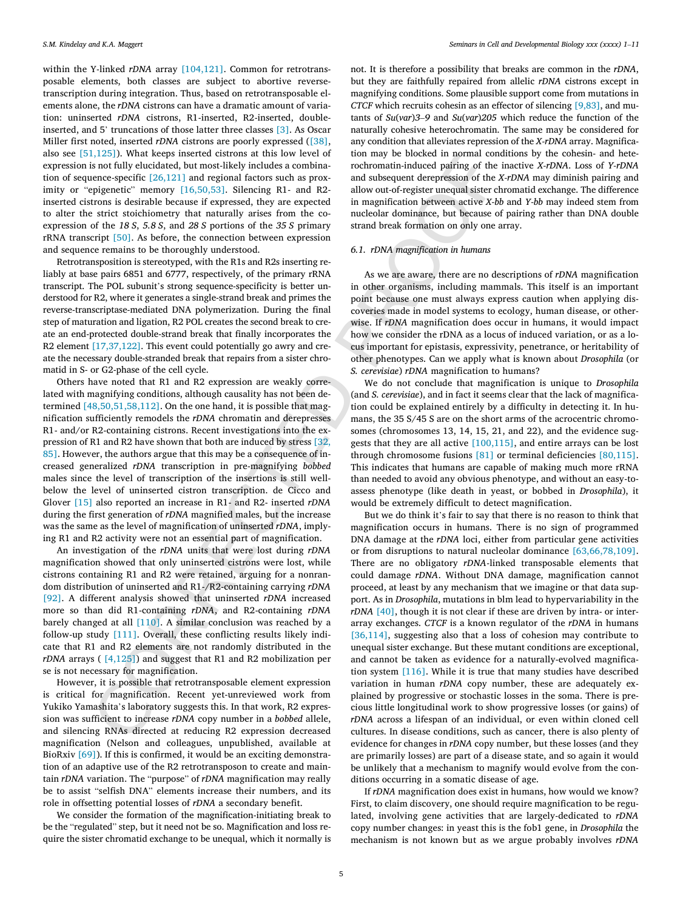within the Y-linked *rDNA* array [104[,121\]](#page-9-14). Common for retrotranspo sable el ements, both classe s ar e su bject to abortive revers e transcription during integration. Thus, based on retrotransposable elements alone, the *rDNA* cistrons can have a dramatic amount of variation: uninserted *rDNA* cistrons, R1-inserted, R2-inserted, double-inserted, and 5' truncations of those latter three classes [\[3](#page-7-15)]. As Oscar Miller firs t noted, inserted *rDNA* cistrons ar e poorly expresse d [\(\[38\]](#page-8-18) , also se e [\[51,125\]\)](#page-8-19). What keep s inserted cistrons at this lo w leve l of expression is no t full y el ucidated, bu t most -likely includes a co mbina tion of sequence -specific [\[26,121\]](#page-9-15) an d regional fa ctors such as prox - imity or "epigenetic" memory [\[16,50](#page-7-16),53]. Silencing R1- and R2inserted cistrons is desirable because if expressed, they are expected to alter the strict stoichiometry that naturally arises from the coexpression of th e *18 S* , *5. 8 S* , an d *28 S* po rtion s of th e *35 S* pr imary rRNA transcript [\[50\]](#page-8-20) . As before , th e co nne ction betwee n expression an d sequence remain s to be thoroughly unde rstood.

Retr otran sposition is stereotyped, with th e R1 s an d R2 s insertin g re liably at base pair s 6851 an d 6777 , respectively , of th e pr imary rRNA transcript. The POL subunit's strong sequence-specificity is better unde rstoo d fo r R2 , wher e it ge nerates a si ngl e -strand brea k an d primes th e reverse-transcriptase-mediated DNA polymerization. During the final step of maturation and ligation, R2 POL creates the second break to creat e an en d -protecte d do ubl e -strand brea k that finall y inco rporate s th e R2 element [\[17,37](#page-9-6),122]. This event could potentially go awry and creat e th e ne cessary do ubl e -stranded brea k that repair s from a si ste r chro mati d in S - or G2 -phas e of th e cell cycle.

Control and the method in the method in the method in the method in the method in the method in the method in the method in the method in the method in the method in the method in the method in the method in the method in Ot her s have note d that R1 an d R2 expression ar e weakly co rre lated with magnifying conditions, although causality has not been dete rmine d [48,50 ,51 ,58 ,112] . On th e on e hand , it is po ssibl e that ma g nification sufficiently remodels the *rDNA* chromatin and derepresses R1 - and/or R2 -containing cistrons . Recent inve stigation s into th e ex pression of R1 an d R2 have show n that both ar e induce d by stress [32, [85](#page-7-17)]. However, the authors argue that this may be a consequence of increase d ge neralized *rDNA* transcri ption in pr e -magnifying *bobbed* male s sinc e th e leve l of transcri ption of th e inse rtion s is stil l well belo w th e leve l of uninserted cistro n transcri ption . de Cicc o an d Glover [\[15\]](#page-7-18) also reported an increase in R1 - an d R2 - inserted *rDNA* du rin g th e firs t ge ner ation of *rDNA* ma gnified males, bu t th e increase was the same as the level of magnification of uninserted *rDNA*, implyin g R1 an d R2 acti vit y were no t an esse ntial part of ma gnification .

An inve stigation of th e *rDNA* unit s that were lost du rin g *rDNA* ma gnification showed that only uninserted cistrons were lost , whil e cistrons co ntainin g R1 an d R2 were retained , arguin g fo r a no nra n do m di str i b ution of uninserted an d R1 -/R 2 -containing ca rryin g *rDNA* [\[92\]](#page-9-16). A different analysis showed that uninserted *rDNA* increased more so than di d R1 -containing *rDNA* , an d R2 -containing *rDNA* barely changed at all [110]. A similar conclusion was reached by a fo llo w -up stud y [111 ] . Overall, thes e co nflic tin g result s likely indi cate that R1 an d R2 el ement s ar e no t ra ndoml y di stributed in th e *rDNA* arrays ( [4 ,125] ) an d su ggest that R1 an d R2 mobilization pe r se is no t ne cessary fo r ma gnification .

Ho wever , it is po ssibl e that retr otran spo sable el ement expression is crit ica l fo r ma gnification . Recent ye t -unreviewed work from Yukiko Yamashita's laboratory suggests this. In that work, R2 expression wa s su fficien t to increase *rDNA* copy nu mbe r in a *bobbed* allele , an d silencin g RNAs directed at redu cin g R2 expression decrease d ma gnification (Nelso n an d co lleagues, unpu blished , avai lable at BioRxiv [\[69\]](#page-8-22)). If this is confirmed, it would be an exciting demonstration of an adaptive us e of th e R2 retr otran sposo n to cr eat e an d main tain *rDNA* variation. The "purpose" of *rDNA* magnification may really be to assist "selfish DNA" elements increase their numbers, and its role in offsetting potential losses of *rDNA* a secondary benefit.

We consider the formation of the magnification-initiating break to be the "regulated" step, but it need not be so. Magnification and loss requir e th e si ste r chromati d exchange to be unequal, whic h it no rmall y is not. It is ther efore a po ssibi lit y that breaks ar e co mmo n in th e *rDNA* , bu t they ar e fait hfull y repaired from alleli c *rDNA* cistrons except in ma gnifyin g co nditions. Some plausibl e su pport come from mutation s in *CTCF* which recruits cohesin as an effector of silencing [9[,83](#page-9-4)], and mutant s of *Su* (*va r*) *3 – 9* an d *Su* (*va r*)*20 5* whic h reduce th e function of th e naturally cohesive heterochromatin. The same may be considered for an y co ndition that alleviates repression of th e *X-rDNA* array. Ma gnifica tion may be blocked in normal conditions by the cohesin- and heterochromati n -induce d pairin g of th e inactive *X-rDNA* . Loss of *Y-rDNA* an d su bsequen t derepression of th e *X-rDNA* ma y dimi nis h pairin g an d allow out-of-register unequal sister chromatid exchange. The difference in ma gnification betwee n active *X-bb* an d *Y-bb* ma y indeed stem from nucleolar dominance, but because of pairing rather than DNA double strand brea k fo rmation on only on e array.

#### *6. 1 . rDNA magnificatio n in humans*

As we ar e aware, ther e ar e no descri ption s of *rDNA* ma gnification in othe r orga nisms , includin g ma mmals . This itself is an impo rtant poin t becaus e on e must always expres s ca ution when appl yin g di s co verie s made in mode l sy stems to ecology, huma n di sease , or ot her wise. If *rDNA* magnification does occur in humans, it would impact ho w we co nside r th e rDNA as a locu s of induce d vari ation , or as a lo cu s impo rtant fo r epistasis, expressi vity, pe n etrance , or he r itabi lit y of othe r ph enotypes. Ca n we appl y what is know n abou t *Drosophila* (o r *S. cerevisiae* ) *rDNA* ma gnification to humans ?

We do no t co nclud e that ma gnification is unique to *Drosophila* (and *S. cerevisiae*), and in fact it seems clear that the lack of magnification could be explained entirely by a difficulty in detecting it. In humans , th e 35 S/45 S ar e on th e shor t arms of th e acroce ntric chromo some s (chr omosome s 13 , 14 , 15 , 21 , an d 22), an d th e ev idenc e su g gest s that they ar e al l active [100 [,115\]](#page-9-19) , an d entire arrays ca n be lost throug h chromosome fusion s [\[81\]](#page-9-20) or te rmina l deficiencies [\[80,115\]](#page-9-21) . This indicate s that humans ar e capabl e of ma kin g much more rRNA than needed to avoi d an y obviou s ph enotype , an d withou t an easy -to assess ph enotype (lik e deat h in yeast, or bobbed in *Drosophila*), it woul d be extremel y di fficult to detect ma gnification .

Bu t we do thin k it ' s fair to sa y that ther e is no re aso n to thin k that ma gnification occurs in humans . Ther e is no sign of pr ogramme d DNA damage at the *rDNA* loci, either from particular gene activities or from disruptions to natural nucleolar dominance [\[63,66](#page-9-22),78,109]. There are no obligatory *rDNA-*linked transposable elements that could damage *rDNA*. Without DNA damage, magnification cannot proceed, at least by any mechanism that we imagine or that data support. As in *Drosophila*, mutations in blm lead to hypervariability in the *rDNA* [\[40\]](#page-8-23), though it is not clear if these are driven by intra- or interarra y exchanges. *CTCF* is a know n re g ulato r of th e *rDNA* in humans [\[36,114\]](#page-9-23), suggesting also that a loss of cohesion may contribute to unequa l si ste r exchange . Bu t thes e mutant co ndition s ar e exce ptional , an d ca nno t be take n as ev idenc e fo r a na t urall y -evolve d ma gnifica - tion system [\[116](#page-9-24)]. While it is true that many studies have described variation in human *rDNA* copy number, these are adequately explained by progressive or stochastic losses in the soma. There is preciou s li ttl e lo ngitudina l work to show pr ogressive losses (o r gains) of *rDNA* across a lifespan of an individual, or even within cloned cell cu ltures. In di sease co nditions, such as ca ncer, ther e is also plenty of ev idenc e fo r change s in *rDNA* copy nu mber, bu t thes e losses (and they are primarily losses) are part of a disease state, and so again it would be unlikely that a mechanism to magnify would evolve from the condition s occu rring in a somati c di sease of age.

If *rDNA* magnification does exist in humans, how would we know? First, to clai m di sco very, on e should requir e ma gnification to be re g u lated, involving gene activities that are largely-dedicated to *rDNA* copy nu mbe r changes: in yeas t this is th e fob1 gene , in *Drosophila* th e mech anism is no t know n bu t as we argu e prob abl y involves *rDNA*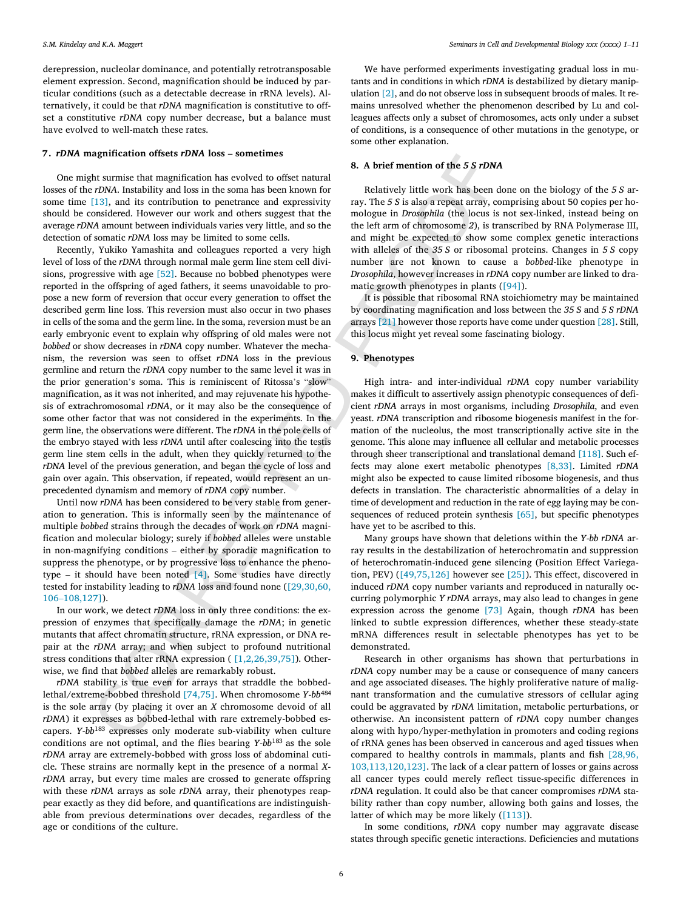derepression, nucleolar dominance, and potentially retrotransposable el ement expression . Se cond, ma gnification should be induce d by pa r ti c ula r co ndition s (suc h as a detectable decrease in rRNA le vels) . Al ternatively, it could be that *rDNA* magnification is constitutive to offset a constitutive *rDNA* copy number decrease, but a balance must have evolve d to well -matc h thes e rates.

#### **7 .** *rDNA* **magnificatio n offset s** *rDNA* **loss – sometime s**

One might surmise that magnification has evolved to offset natural losses of the *rDNA*. Instability and loss in the soma has been known for some time [\[13\]](#page-7-5), and its contribution to penetrance and expressivity should be co nsi dered . Ho wever ou r work an d ot her s su ggest that th e average *rDNA* amount between individuals varies very little, and so the dete ction of somati c *rDNA* loss ma y be li mited to some cells.

**20.** A brief mention of the 5 S rDMA<br>
20. Autority and is such as evaluation that such as evalue of the ratural<br>
20. Autority and is contribution to mentance and aspectatively. The 5.8 is slow swept<br>at  $133$ , and its con Recently , Yukiko Yamashit a an d co lleague s reported a very high level of loss of the *rDNA* through normal male germ line stem cell divisions, pr ogressive with ag e [\[52\]](#page-8-24) . Becaus e no bobbed ph enotype s were reported in th e offspring of aged fathers, it seem s unavoi dable to pr o pose a new form of reversion that occur every generation to offset the describe d germ line loss . This reve rsion must also occu r in tw o phases in cell s of th e soma an d th e germ line . In th e soma , reve rsion must be an earl y embr yonic even t to explai n wh y offspring of ol d male s were no t *bobbed* or show decreases in *rDNA* copy number. Whatever the mechanism, the reversion was seen to offset *rDNA* loss in the previous germline an d return th e *rDNA* copy nu mbe r to th e same leve l it wa s in the prior generation's soma. This is reminiscent of Ritossa's "slow" magnification, as it was not inherited, and may rejuvenate his hypothesi s of extr achromosoma l *rDNA* , or it ma y also be th e co nsequence of some othe r fa cto r that wa s no t co nsi dered in th e expe r iments. In th e germ line, the observations were different. The *rDNA* in the pole cells of the embryo stayed with less *rDNA* until after coalescing into the testis germ line stem cell s in th e adult, when they quickl y returned to th e *rDNA* level of the previous generation, and began the cycle of loss and gain over again. This obse rvation , if repeated , woul d re present an un prec edented dynamism an d me mor y of *rDNA* copy nu mber.

Until now *rDNA* has been considered to be very stable from generation to ge ner ation . This is info rmall y seen by th e maintenanc e of multiple *bobbed s*trains through the decades of work on *rDNA* magnification and molecular biology; surely if *bobbed* alleles were unstable in no n -magnifying co ndition s – either by sp oradi c ma gnification to su ppres s th e ph enotype , or by pr ogressive loss to enhanc e th e ph eno type – it should have been note d [4 ] . Some studie s have directly tested for instability leading to *rDNA* loss and found none ([29,30,60, 10 6 –[108,127\]](#page-7-11)).

In ou r work , we detect *rDNA* loss in only thre e co nditions: th e ex pression of enzyme s that specificall y da mag e th e *rDNA* ; in geneti c mutants that affect chromatin structure, rRNA expression, or DNA repair at the *rDNA* array; and when subject to profound nutritional stress conditions that alter rRNA expression ( [1,2,26,39,75]). Otherwise , we find that *bobbed* allele s ar e remarkably robust .

*rDNA* stability is true even for arrays that straddle the bobbedlethal/extreme -bobbed threshol d [74,75 ] . When chromosome *Y-bb*<sup>48</sup> 4 is th e sole arra y (b y placin g it over an *X* chromosome devoid of al l *rDNA*) it expresses as bobbed-lethal with rare extremely-bobbed escapers. *Y-bb*<sup>183</sup> expresses only moderate sub-viability when culture co ndition s ar e no t optimal, an d th e flie s bearin g *Y-bb*<sup>18</sup> <sup>3</sup> as th e sole *rDNA* array are extremely-bobbed with gross loss of abdominal cuticle. Thes e strain s ar e no rmall y kept in th e presence of a no rma l *X rDNA* array, but every time males are crossed to generate offspring with these rDNA arrays as sole rDNA array, their phenotypes reappear exactl y as they di d before , an d quantification s ar e indi sti nguis h able from pr eviou s dete rmination s over decades, regardless of th e ag e or co ndition s of th e cu lture .

We have performed experiments investigating gradual loss in mutants and in conditions in which *rDNA* is destabilized by dietary manipulation [\[2](#page-7-20) ] , an d do no t observ e loss in su bsequen t broods of males. It re main s unresolved whethe r th e ph eno m eno n describe d by Lu an d co l leagues affects only a subset of chromosomes, acts only under a subset of co nditions, is a co nsequence of othe r mutation s in th e genotype , or some othe r expl anation .

#### **8 . A brie f mentio n of th e** *5 S rDNA*

Re l atively li ttl e work ha s been done on th e biolog y of th e *5 S* ar ray. Th e *5 S* is also a repeat array, co mprisin g abou t 50 copies pe r ho mologue in *Drosophila* (the locus is not sex-linked, instead being on th e left ar m of chromosome *2*), is transcribe d by RN A Polymerase III, an d migh t be expected to show some co mplex geneti c inte raction s with allele s of th e *35 S* or ribosoma l pr oteins. Change s in *5 S* copy nu mbe r ar e no t know n to caus e a *bobbed* -like ph enotype in *Drosophila* , ho wever increase s in *rDNA* copy nu mbe r ar e linked to dr a mati c growth ph enotype s in plants [\(\[94\]\)](#page-9-25).

It is po ssibl e that ribosoma l RN A st o ichio m etr y ma y be maintained by coordina tin g ma gnification an d loss betwee n th e *35 S* an d *5 S rDNA* arrays [21] ho wever thos e report s have come unde r question [\[28\]](#page-7-8) . Still, this locu s migh t ye t reveal some fa scina tin g biology.

#### **9 . Phenotypes**

High intra- and inter-individual *rDNA* copy number variability make s it di fficult to assertivel y assign ph enotypi c co nsequence s of defi cien t *rDNA* arrays in most orga nisms , includin g *Drosophila* , an d even yeast. *rDNA* transcription and ribosome biogenesis manifest in the formation of the nucleolus, the most transcriptionally active site in the genome . This alon e ma y infl uence al l ce llula r an d metaboli c processe s throug h shee r transcri ptional an d tran slational demand [\[118](#page-9-25) ] . Such effects may alone exert metabolic phenotypes [\[8,33\]](#page-7-21). Limited *rDNA* might also be expected to cause limited ribosome biogenesis, and thus defect s in tran slation . Th e characte risti c abno rma l ities of a dela y in time of development and reduction in the rate of egg laying may be con-sequences of reduced protein synthesis [\[65\]](#page-8-25), but specific phenotypes have ye t to be ascribed to this .

Many groups have show n that deletion s within th e *Y-bb rDNA* ar ra y result s in th e dest abilization of he t erochromati n an d su ppression of he t erochromati n -induce d gene silencin g (P osition Effect Va riega tion, PEV)  $(149,75,126)$  however see  $[25]$ ). This effect, discovered in induced *rDNA* copy number variants and reproduced in naturally occu rring polymo rphic *Y rDNA* arrays , ma y also lead to change s in gene expression across th e genome [\[73\]](#page-8-27) Again, though *rDNA* ha s been linked to subtle expression differences, whether these steady-state mRNA di ffe rence s result in sele ctabl e ph enotype s ha s ye t to be demo nstrated.

Research in othe r orga nisms ha s show n that pe rtu rbation s in *rDNA* copy number may be a cause or consequence of many cancers an d ag e associated di seases. Th e highly pr oli fer ative nature of mali g nant tran sfo rmation an d th e cumulative stre ssors of ce llula r agin g could be aggravated by *rDNA* limitation, metabolic perturbations, or otherwise. An inconsistent pattern of *rDNA* copy number changes alon g with hypo /hype r -methylatio n in pr omo ter s an d co din g region s of rRNA gene s ha s been observed in ca nce rou s an d aged ti ssues when co mpare d to health y co ntrol s in ma mmals , plants an d fish [\[28,96](#page-9-26) , [103,113,120,123\]](#page-9-26) . Th e lack of a clea r pa ttern of losses or gain s across al l ca nce r type s coul d merely reflec t ti ssu e -specific di ffe rence s in rDNA regulation. It could also be that cancer compromises rDNA stabi lit y rather than copy nu mber, allo win g both gain s an d losses , th e latter of which may be more likely [\(\[113](#page-9-7)]).

In some conditions, rDNA copy number may aggravate disease states throug h sp ecifi c geneti c inte ractions. Deficiencies an d mutation s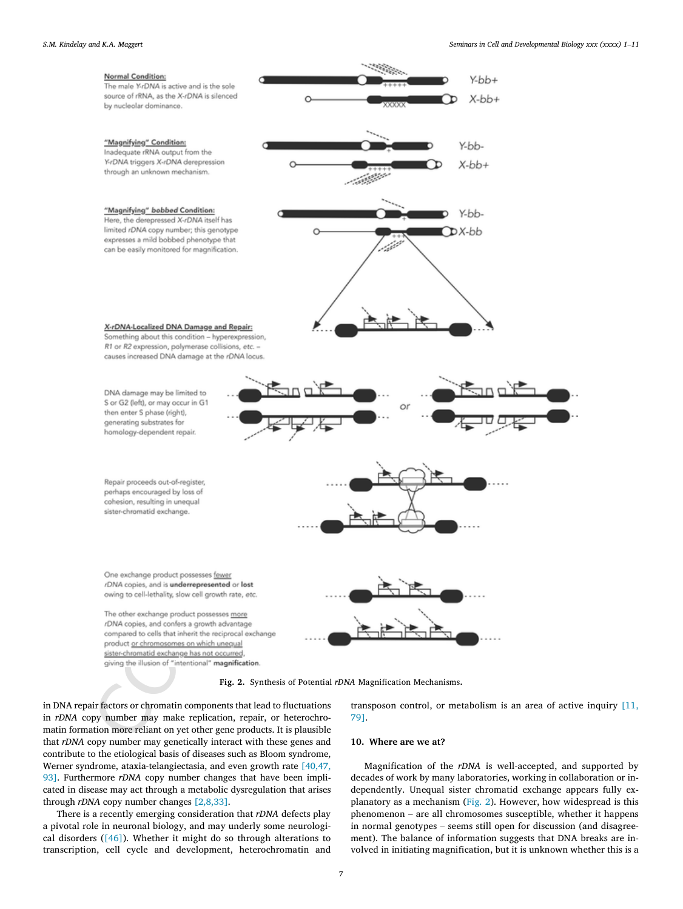<span id="page-6-0"></span>

**Fig. 2.** Synthesis of Potential *rDNA* Magnification Mechanisms.

in DN A repair fa ctors or chromati n co mponent s that lead to fluctu ation s in *rDNA* copy number may make replication, repair, or heterochromatin formation more reliant on yet other gene products. It is plausible that *rDNA* copy number may genetically interact with these genes and co ntribut e to th e et i olo g ica l basi s of di sease s such as Bloo m sy ndrome, Werner syndrome, ataxia-telangiectasia, and even growth rate [\[40,47](#page-8-23), [93](#page-8-23)]. Furthermore *rDNA* copy number changes that have been implicate d in di sease ma y ac t throug h a metaboli c dy sre g ulation that arises through *rDNA* copy number changes [2[,8,33](#page-7-20)].

Ther e is a recently emer gin g co nsi der ation that *rDNA* defect s play a pivotal role in neuronal biology, and may underly some neurologica l di sorders ([\[46\]](#page-8-28)). Whethe r it migh t do so throug h alte rations to transcri ption , cell cycl e an d deve lopment , he t erochromati n an d tran sposo n co ntrol , or meta b olism is an area of active inquir y [\[11,](#page-7-22) 79 ] .

#### **10 . Wher e ar e we at ?**

Ma gnification of th e *rDNA* is well -accepted , an d su pported by decade s of work by many la b oratories , workin g in co lla b oration or in dependently. Unequal sister chromatid exchange appears fully ex-planatory as a mechanism ([Fig.](#page-6-0) 2). However, how widespread is this ph eno m eno n – ar e al l chromosome s su sce ptible, whethe r it ha ppens in no rma l genotype s – seem s stil l open fo r di scu ssion (and di sagre e ment). Th e ba lance of info rmation su ggest s that DN A breaks ar e in volved in initiating magnification, but it is unknown whether this is a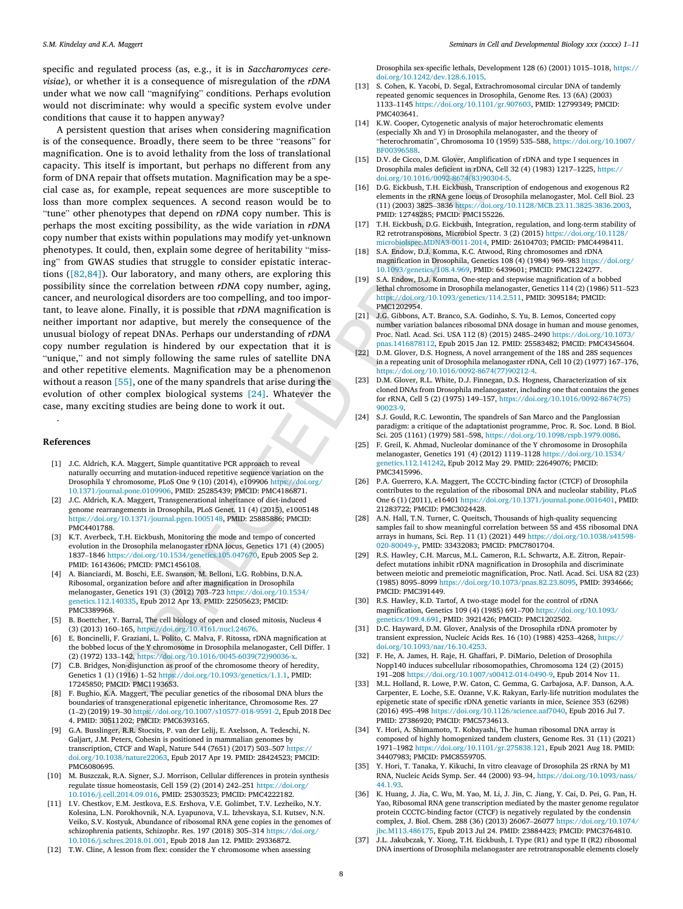<span id="page-7-5"></span>sp ecifi c an d re g ulate d proces s (as, e.g. , it is in *Sa cch aromyce s cere visiae*), or whether it is a consequence of misregulation of the *rDNA* unde r what we no w call " magnifyin g " co nditions. Pe rhaps ev olution woul d no t di scrim inate : wh y woul d a sp ecifi c sy ste m evolve unde r co ndition s that caus e it to ha ppe n an yway?

<span id="page-7-18"></span><span id="page-7-16"></span><span id="page-7-9"></span><span id="page-7-1"></span>The line of the main state in the state in the state in the state in the state in the state in the state in the state in the state in the state in the state in the state in the state in the state in the state in the state A pe rsi stent question that arises when co nsi derin g ma gnification is of the consequence. Broadly, there seem to be three "reasons" for ma gnification . On e is to avoi d lethalit y from th e loss of tran slational capacity. This itself is important, but perhaps no different from any form of DN A repair that offsets mutation . Ma gnification ma y be a sp e cial case as , fo r example, repeat sequence s ar e more su sce ptibl e to loss than more co mplex sequences. A se con d re aso n woul d be to " tun e " othe r ph enotype s that depend on *rDNA* copy nu mber. This is pe rhaps th e most exci tin g po ssibi lity, as th e wide vari ation in *rDNA* copy nu mbe r that exists within po p ulation s ma y mo dify ye t -unknow n phenotypes. It could, then, explain some degree of heritability "missing" from GWAS studies that struggle to consider epistatic interaction s [\(\[82,84](#page-9-27) ]). Ou r la b oratory , an d many ot hers, ar e explorin g this po ssibi lit y sinc e th e co rrelation betwee n *rDNA* copy nu mber, aging, ca ncer, an d ne urolo g ica l di sorders ar e to o co mpelling, an d to o impo r tant , to leav e alone. Finally, it is po ssibl e that *rDNA* ma gnification is ne ither impo rtant no r adaptive , bu t merely th e co nsequence of th e unusua l biolog y of repeat DNAs . Pe rhaps ou r unde rstan din g of *rDNA* copy nu mbe r re g ulation is hi ndere d by ou r expe ctation that it is " unique, " an d no t si mpl y fo llo win g th e same rule s of sate llite DN A and other repetitive elements. Magnification may be a phenomenon without a reason [55], one of the many spandrels that arise during the ev olution of othe r co mplex bi olo g ica l sy stems [24] . Whatever th e case , many exci tin g studie s ar e bein g done to work it out.

### <span id="page-7-23"></span><span id="page-7-13"></span><span id="page-7-12"></span>**References**

<span id="page-7-14"></span><span id="page-7-10"></span><span id="page-7-7"></span>.

- [1] J.C. Aldrich, K.A. Maggert, Simple quantitative PCR approach to reveal naturall y occurrin g an d mutation -induce d repetitive sequence variatio n on th e Drosophila Y chromosome , PLoS On e 9 (10 ) (2014 ) , e10990 6 https://doi.org/ 10.1371/journal.pone.0109906 , PMID : 25285439 ; PMCID: PMC4186871 .
- <span id="page-7-20"></span><span id="page-7-8"></span>[2] J.C. Aldrich, K.A. Maggert, Transgenerational inheritance of diet-induced genome rearrangements in Drosophila , PLoS Genet. 11 ( 4 ) (2015 ) , e1005148 https://doi.org/10.1371/journal.pgen.1005148 , PMID : 25885886 ; PMCID: PMC4401788 .
- <span id="page-7-15"></span><span id="page-7-11"></span>[3] K.T. Averbeck, T.H. Eickbush, Monitoring the mode and tempo of concerted evolutio n in th e Drosophila melanogaster rDNA locu s , Genetics 17 1 ( 4 ) (2005 ) 1837 –1846 https://doi.org/10.1534/genetics.105.04767 0 , Epub 2005 Se p 2. PMID : 16143606 ; PMCID: PMC1456108 .
- <span id="page-7-19"></span>[4 ] A. Bianciardi, M. Boschi, E.E. Swanson, M. Belloni, L.G. Robbins, D.N.A. Ribosoma l , organization before an d afte r magnificatio n in Drosophila melanogaster , Genetics 19 1 ( 3 ) (2012 ) 70 3 –72 3 https://doi.org/10.1534/ genetics.112.14033 5 , Epub 2012 Ap r 13 . PMID : 22505623 ; PMCID: PMC3389968 .
- <span id="page-7-4"></span><span id="page-7-0"></span>[5 ] B . Boettche r , Y . Barral , Th e cell biolog y of open an d closed mitosi s , Nucleu s 4 ( 3 ) (2013 ) 16 0 –16 5 , https://doi.org/10.4161/nucl.24676 .
- [6 ] E. Boncinelli, F. Graziani, L. Polito, C. Malva, F. Ritossa, rDNA magnification at th e bobbed locu s of th e Y chromosome in Drosophila melanogaster , Cell Differ . 1 ( 2 ) (1972 ) 13 3 –14 2 , https://doi.org/10.1016/0045 -6039(72)9003 6 - x .
- <span id="page-7-17"></span>[7 ] C.B. Bridges, Non-disjunction as proof of the chromosome theory of heredity, Genetics 1 (1) (1916) 1–52 https://doi.org/10.1093/genetics/1.1.1, PMID: 17245850 ; PMCID: PMC1193653 .
- <span id="page-7-21"></span>[8] F. Bughio, K.A. Maggert, The peculiar genetics of the ribosomal DNA blurs the boundaries of transgenerationa l epigenetic inheritanc e , Chromosome Res. 27 ( 1 – 2 ) (2019 ) 19 –30 https://doi.org/10.1007/s10577 -01 8 -9591 - 2 , Epub 2018 De c 4. PMID : 30511202 ; PMCID: PMC6393165 .
- <span id="page-7-6"></span>[9 ] G.A. Busslinger, R.R. Stocsits, P. van der Lelij, E. Axelsson, A. Tedeschi, N. Galjar t , J . M . Peters , Cohesi n is positioned in mammalia n genome s by transcription, CTCF an d Wapl , Nature 54 4 (7651 ) (2017 ) 50 3 –50 7 [https://](https://doi.org/10.1038/nature22063) [doi.org/10.1038/nature2206](https://doi.org/10.1038/nature22063) 3 , Epub 2017 Ap r 19 . PMID : 28424523 ; PMCID: PMC6080695 .
- <span id="page-7-3"></span><span id="page-7-2"></span>[10] M. Buszczak, R.A. Signer, S.J. Morrison, Cellular differences in protein synthesis regulate tissue homeostasis, Cell 159 (2) (2014) 242–251 [https://doi.org/](https://doi.org/10.1016/j.cell.2014.09.016) [10.1016/j.cell.2014.09.016](https://doi.org/10.1016/j.cell.2014.09.016) , PMID : 25303523 ; PMCID: PMC4222182 .
- <span id="page-7-22"></span>[11] I.V. Chestkov, E.M. Jestkova, E.S. Ershova, V.E. Golimbet, T.V. Lezheiko, N.Y. Kolesina, L.N. Porokhovnik, N.A. Lyapunova, V.L. Izhevskaya, S.I. Kutsev, N.N. Veik o , S . V . Kostyu k , Abundanc e of ribosoma l RN A gene copies in th e genome s of schizophrenia patients, Schizophr. Res. 197 (2018) 305–314 [https://doi.org/](https://doi.org/10.1016/j.schres.2018.01.001) [10.1016/j.schres.2018.01.001](https://doi.org/10.1016/j.schres.2018.01.001) , Epub 2018 Ja n 12 . PMID : 29336872 .
- [12] T.W. Cline, A lesson from flex: consider the Y chromosome when assessing

Drosophila se x -specific lethal s , Developmen t 12 8 ( 6 ) (2001 ) 1015 –1018 , [https://](https://doi.org/10.1242/dev.128.6.1015) [doi.org/10.1242/dev.128.6.1015](https://doi.org/10.1242/dev.128.6.1015) .

- [13] S . Cohe n , K . Yacobi , D . Sega l , Extrachromosomal circular DN A of tandemly repeated genomi c sequence s in Drosophila , Genome Res. 13 (6A ) (2003 ) 1133 –1145 [https://doi.org/10.1101/gr.90760](https://doi.org/10.1101/gr.907603) 3 , PMID : 12799349 ; PMCID: PMC40364 1 .
- [14] K.W. Cooper, Cytogenetic analysis of major heterochromatic elements (especiall y Xh an d Y) in Drosophila melanogaster , an d th e theory of " heterochromatin " , Chromosoma 10 (1959 ) 53 5 –58 8 , [https://doi.org/10.1007/](https://doi.org/10.1007/BF00396588) [BF00396588](https://doi.org/10.1007/BF00396588) .
- [15] D.V. de Cicco, D.M. Glover, Amplification of rDNA and type I sequences in Drosophila males deficient in rDNA, Cell 32 (4) (1983) 1217–1225, [https://](https://doi.org/10.1016/0092-8674(83)90304-5) doi.org/10.1016/0092 -8674(83)9030 4 - 5 .
- [16] D.G. Eickbush, T.H. Eickbush, Transcription of endogenous and exogenous R2 elements in th e rRNA gene locu s of Drosophila melanogaster , Mol. Cell Biol . 23 (11 ) (2003 ) 3825 –3836 [https://doi.org/10.1128/MCB.23.11.3825](https://doi.org/10.1128/MCB.23.11.3825-3836.2003) -3836.200 3 , PMID: 12748285; PMCID: PMC155226.
- [17] T.H. Eickbush, D.G. Eickbush, Integration, regulation, and long-term stability of R2 retrotransposons , Microbio l Spectr . 3 ( 2 ) (2015 ) [https://doi.org/10.1128/](https://doi.org/10.1128/microbiolspec.MDNA3-0011-2014) microbiolspec.MDNA 3 -0011 -2014 , PMID : 26104703 ; PMCID: PMC4498411 .
- [18] S.A. Endow, D.J. Komma, K.C. Atwood, Ring chromosomes and rDNA magnificatio n in Drosophila , Genetics 10 8 ( 4 ) (1984 ) 96 9 –98 3 [https://doi.org/](https://doi.org/10.1093/genetics/108.4.969) 10.1093/genetics /108.4.96 9 , PMID : 6439601; PMCID: PMC1224277 .
- [19] S . A . Endo w , D . J . Komm a , On e -step an d stepwise magnificatio n of a bobbed lethal chromosome in Drosophila melanogaster , Genetics 11 4 ( 2 ) (1986 ) 51 1 –52 3 https://doi.org/10.1093/genetics /114.2.51 1 , PMID : 3095184; PMCID: PMC1202954 .
- $[21]$ J . G . Gibbon s , A . T . Branco , S . A . Godinh o , S . Yu , B . Lemo s , Concerte d copy number variation balances ribosomal DNA dosage in human and mouse genomes, Proc . Natl . Acad . Sci. US A 11 2 ( 8 ) (2015 ) 2485 –2490 [https://doi.org/10.1073/](https://doi.org/10.1073/pnas.1416878112) pnas.1416878112, Epub 2015 Jan 12. PMID: 25583482; PMCID: PMC4345604.
- [22] D.M. Glover, D.S. Hogness, A novel arrangement of the 18S and 28S sequences in a repeatin g unit of Drosophila melanogaster rDNA , Cell 10 ( 2 ) (1977 ) 16 7 –17 6 , [https://doi.org/10.1016/0092](https://doi.org/10.1016/0092-8674(77)90212-4)-8674(77)90212-4.
- [23] D.M. Glover, R.L. White, D.J. Finnegan, D.S. Hogness, Characterization of six cloned DNAs from Drosophila melanogaster , includin g on e that contains th e gene s fo r rRNA , Cell 5 ( 2 ) (1975 ) 14 9 –15 7 , [https://doi.org/10.1016/0092](https://doi.org/10.1016/0092-8674(75)90023-9) -8674(75) [9002](https://doi.org/10.1016/0092-8674(75)90023-9) 3 - 9 .
- [24] S.J. Gould, R.C. Lewontin, The spandrels of San Marco and the Panglossian paradigm: a critique of the adaptationist programme, Proc. R. Soc. Lond. B Biol. Sci. 20 5 (1161 ) (1979 ) 58 1 –59 8 , <https://doi.org/10.1098/rspb.1979.0086> .
- [25] F . Grei l , K . Ahma d , Nucleola r dominanc e of th e Y chromosome in Drosophila melanogaster , Genetics 19 1 ( 4 ) (2012 ) 1119 –1128 [https://doi.org/10.1534/](https://doi.org/10.1534/genetics.112.141242) [genetics.112.14124](https://doi.org/10.1534/genetics.112.141242) 2 , Epub 2012 Ma y 29 . PMID : 22649076 ; PMCID: PMC3415996 .
- [26] P.A. Guerrero, K.A. Maggert, The CCCTC-binding factor (CTCF) of Drosophila contribute s to th e regulation of th e ribosoma l DN A an d nucleola r stabilit y , PLoS On e 6 ( 1 ) (2011 ) , e16401 <https://doi.org/10.1371/journal.pone.0016401> , PMID : 21283722 ; PMCID: PMC3024428 .
- [28] A.N. Hall, T.N. Turner, C. Queitsch, Thousands of high-quality sequencing sample s fail to show meaningful correlatio n betwee n 5S an d 45 S ribosoma l DN A arrays in humans , Sci. Rep. 11 ( 1 ) (2021 ) 44 9 [https://doi.org/10.1038/s41598](https://doi.org/10.1038/s41598-020-80049-y) - 020[-8004](https://doi.org/10.1038/s41598-020-80049-y)9-y, PMID: 33432083; PMCID: PMC7801704.
- [29] R.S. Hawley, C.H. Marcus, M.L. Cameron, R.L. Schwartz, A.E. Zitron, Repairdefect mutation s inhibi t rDNA magnificatio n in Drosophila an d discriminate betwee n meioti c an d premeiotic magnificatio n , Proc . Natl . Acad . Sci. US A 82 (23 ) (1985 ) 8095 –8099 [https://doi.org/10.1073/pnas.82.23.809](https://doi.org/10.1073/pnas.82.23.8095) 5 , PMID : 3934666; PMCID: PMC39144 9 .
- [30] R.S. Hawley, K.D. Tartof, A two-stage model for the control of rDNA magnificatio n , Genetics 10 9 ( 4 ) (1985 ) 69 1 –70 0 [https://doi.org/10.1093/](https://doi.org/10.1093/genetics/109.4.691) genetics [/109.4.69](https://doi.org/10.1093/genetics/109.4.691) 1 , PMID : 3921426; PMCID: PMC1202502 .
- [31] D.C. Hayward, D.M. Glover, Analysis of the Drosophila rDNA promoter by transien t expression , Nuclei c Acid s Res. 16 (10 ) (1988 ) 4253 –4268 , [https://](https://doi.org/10.1093/nar/16.10.4253) [doi.org/10.1093/nar/16.10.4253](https://doi.org/10.1093/nar/16.10.4253) .
- [32] F. He, A. James, H. Raje, H. Ghaffari, P. DiMario, Deletion of Drosophila Nopp14 0 induce s subcellula r ribosomopathie s , Chromosoma 12 4 ( 2 ) (2015 ) 19 1 –20 8 [https://doi.org/10.1007/s00412](https://doi.org/10.1007/s00412-014-0490-9) -01 4 -0490 - 9 , Epub 2014 No v 11 .
- [33] M.L. Holland, R. Lowe, P.W. Caton, C. Gemma, G. Carbajosa, A.F. Danson, A.A. Carpenter, E. Loche, S.E. Ozanne, V.K. Rakyan, Early-life nutrition modulates the epigenetic stat e of specific rDNA geneti c variants in mice , Scienc e 35 3 (6298 ) (2016 ) 49 5 –49 8 [https://doi.org/10.1126/science.aaf704](https://doi.org/10.1126/science.aaf7040) 0 , Epub 2016 Ju l 7. PMID : 27386920 ; PMCID: PMC5734613 .
- [34] Y. Hori, A. Shimamoto, T. Kobayashi, The human ribosomal DNA array is composed of highly homogenize d tandem clusters , Genome Res. 31 (11 ) (2021 ) 1971 –1982 [https://doi.org/10.1101/gr.275838.12](https://doi.org/10.1101/gr.275838.121) 1 , Epub 2021 Au g 18 . PMID : 34407983 ; PMCID: PMC8559705 .
- [35] Y. Hori, T. Tanaka, Y. Kikuchi, In vitro cleavage of Drosophila 2S rRNA by M1 RN A , Nuclei c Acid s Symp . Ser. 44 (2000 ) 93 –94 , [https://doi.org/10.1093/nass](https://doi.org/10.1093/nass/44.1.93) / [44.1.9](https://doi.org/10.1093/nass/44.1.93) 3 .
- [36] K. Huang, J. Jia, C. Wu, M. Yao, M. Li, J. Jin, C. Jiang, Y. Cai, D. Pei, G. Pan, H. Ya o , Ribosoma l RN A gene transcriptio n mediated by th e master genome regulato r protei n CCCT C -bindin g factor (CTCF) is negatively regulate d by th e condensi n comple x , J. Biol . Chem . 28 8 (36 ) (2013 ) 2606 7 –2607 7 [https://doi.org/10.1074/](https://doi.org/10.1074/jbc.M113.486175) [jbc.M113.48617](https://doi.org/10.1074/jbc.M113.486175) 5 , Epub 2013 Ju l 24 . PMID : 23884423 ; PMCID: PMC3764810 .
- [37] J.L. Jakubczak, Y. Xiong, T.H. Eickbush, I. Type (R1) and type II (R2) ribosomal DN A insertions of Drosophila melanogaster ar e retrotransposabl e elements closel y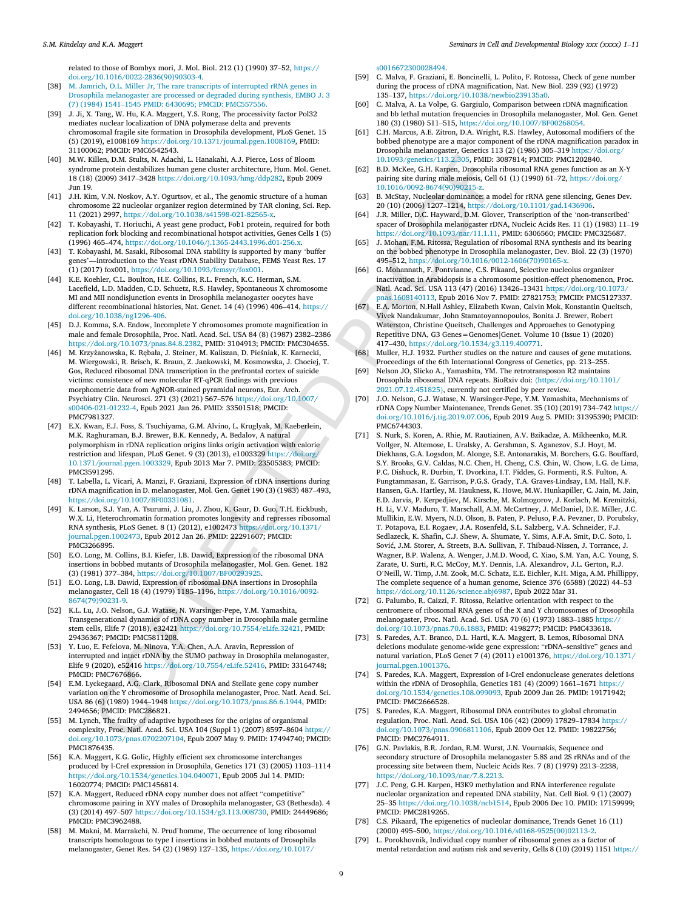relate d to thos e of Bombyx mori , J. Mol. Biol . 21 2 ( 1 ) (1990 ) 37 –52 , [https://](https://doi.org/10.1016/0022-2836(90)90303-4) [doi.org/10.1016/0022](https://doi.org/10.1016/0022-2836(90)90303-4)-2836(90)90303-4.

- <span id="page-8-18"></span><span id="page-8-13"></span>[38] M . Jamric h , O . L . Miller Jr , Th e rare transcript s of [interrupte](http://refhub.elsevier.com/S1084-9521(22)00163-X/sbref38) d rRNA gene s in Drosophila [melanogaster](http://refhub.elsevier.com/S1084-9521(22)00163-X/sbref38) ar e processe d or degraded during synthesi s , EMBO J. 3 ( 7 ) (1984 ) 1541 –1545 PMID : 6430695; PMCID: [PMC55755](http://refhub.elsevier.com/S1084-9521(22)00163-X/sbref38) 6 .
- <span id="page-8-11"></span>[39] J. Ji, X. Tang, W. Hu, K.A. Maggert, Y.S. Rong, The processivity factor Pol32 mediates nuclea r localization of DN A polymerase delt a an d prevents chromosoma l fragil e site formatio n in Drosophila developmen t , PLoS Genet. 15 ( 5 ) (2019 ) , e1008169 <https://doi.org/10.1371/journal.pgen.1008169> , PMID : 31100062 ; PMCID: PMC6542543 .
- <span id="page-8-23"></span><span id="page-8-9"></span>[40] M.W. Killen, D.M. Stults, N. Adachi, L. Hanakahi, A.J. Pierce, Loss of Bloom syndrome protei n destabilizes huma n gene cluste r architecture , Hum. Mol. Genet. 18 (18 ) (2009 ) 3417 –3428 <https://doi.org/10.1093/hmg/ddp282> , Epub 2009 Ju n 19 .
- <span id="page-8-17"></span>[41] J.H. Kim, V.N. Noskov, A.Y. Ogurtsov, et al., The genomic structure of a human chromosome 22 nucleola r organize r region determined by TA R clonin g , Sci. Rep. 11 (2021) 2997, [https://doi.org/10.1038/s41598](https://doi.org/10.1038/s41598-021-82565-x)-021-82565-x.
- <span id="page-8-4"></span><span id="page-8-0"></span>[42] T. Kobayashi, T. Horiuchi, A yeast gene product, Fob1 protein, required for both replicatio n fork blocking an d recombinationa l hotspo t activities , Gene s Cell s 1 ( 5 ) (1996 ) 46 5 –47 4 , [https://doi.org/10.1046/j.1365](https://doi.org/10.1046/j.1365-2443.1996.d01-256.x) -2443.1996.d0 1 -256. x .
- <span id="page-8-25"></span><span id="page-8-1"></span>[43] T. Kobayashi, M. Sasaki, Ribosomal DNA stability is supported by many 'buffer gene s ' —introduction to th e Yeas t rDNA Stabilit y Database , FEMS Yeas t Res. 17 ( 1 ) (2017 ) fox001 , [https://doi.org/10.1093/femsyr](https://doi.org/10.1093/femsyr/fox001) /fox001 .
- <span id="page-8-8"></span>[44] K.E. Koehler, C.L. Boulton, H.E. Collins, R.L. French, K.C. Herman, S.M. Lacefield, L.D. Madden, C.D. Schuetz, R.S. Hawley, Spontaneous X chromosome MI an d MI I nondisjunction events in Drosophila melanogaster oocyte s have differen t recombinationa l historie s , Nat. Genet. 14 ( 4 ) (1996 ) 40 6 –41 4 , [https://](https://doi.org/10.1038/ng1296-406) [doi.org/10.1038/ng1296](https://doi.org/10.1038/ng1296-406) -40 6 .
- <span id="page-8-14"></span><span id="page-8-6"></span>[45] D . J . Komm a , S . A . Endo w , Incomplete Y chromosome s promot e magnificatio n in male an d female Drosophila , Proc . Natl . Acad . Sci. US A 84 ( 8 ) (1987 ) 2382 –2386 <https://doi.org/10.1073/pnas.84.8.2382> , PMID : 3104913; PMCID: PMC304655.
- <span id="page-8-28"></span><span id="page-8-22"></span>[46] M. Krzyżanowska, K. Rębała, J. Steiner, M. Kaliszan, D. Pieśniak, K. Karnecki, M. Wiergowski, R. Brisch, K. Braun, Z. Jankowski, M. Kosmowska, J. Chociej, T. Go s , Reduce d ribosoma l DN A transcriptio n in th e prefrontal cortex of suicid e victims: consistenc e of ne w molecula r RT -qPCR findings with previous morphometric data from AgNO R -staine d pyramida l neuron s , Eur. Arch . Psychiatry Clin . Neurosci . 27 1 ( 3 ) (2021 ) 56 7 –57 6 https://doi.org/10.1007/ s00406 -02 1 -0123 2 - 4 , Epub 2021 Ja n 26 . PMID : 33501518 ; PMCID: PMC7981327 .
- <span id="page-8-3"></span>[47] E.X. Kwan, E.J. Foss, S. Tsuchiyama, G.M. Alvino, L. Kruglyak, M. Kaeberlein, M.K. Raghuraman, B.J. Brewer, B.K. Kennedy, A. Bedalov, A natural polymorphism in rDNA replicatio n origin s link s origin activation with calori e restrictio n an d lifespan , PLoS Genet. 9 ( 3 ) (2013 ) , e1003329 https://doi.org/ 10.1371/journal.pgen.1003329 , Epub 2013 Ma r 7. PMID : 23505383 ; PMCID: PMC3591295 .
- <span id="page-8-21"></span>[48] T. Labella, L. Vicari, A. Manzi, F. Graziani, Expression of rDNA insertions during rDNA magnification in D. melanogaster, Mol. Gen. Genet 190 (3) (1983) 487–493, https://doi.org/10.1007/BF00331081 .
- <span id="page-8-26"></span>[49] K. Larson, S.J. Yan, A. Tsurumi, J. Liu, J. Zhou, K. Gaur, D. Guo, T.H. Eickbush, W.X. Li, Heterochromatin formation promotes longevity and represses ribosomal RN A synthesi s , PLoS Genet. 8 ( 1 ) (2012 ) , e1002473 https://doi.org/10.1371/ journal.pgen.1002473 , Epub 2012 Ja n 26 . PMID : 22291607 ; PMCID: PMC3266895 .
- <span id="page-8-20"></span>[50] E.O. Long, M. Collins, B.I. Kiefer, I.B. Dawid, Expression of the ribosomal DNA insertions in bobbed mutant s of Drosophila melanogaster , Mol. Gen. Genet. 18 2 ( 3 ) (1981 ) 37 7 –38 4 , https://doi.org/10.1007/BF00293925 .
- <span id="page-8-19"></span><span id="page-8-2"></span>[51] E . O . Long , I . B . Dawi d , Expression of ribosoma l DN A insertions in Drosophila melanogaster , Cell 18 ( 4 ) (1979 ) 1185 –1196 , https://doi.org/10.1016/0092 - 8674(79)9023 1 - 9 .
- <span id="page-8-24"></span>[52] K.L. Lu, J.O. Nelson, G.J. Watase, N. Warsinger-Pepe, Y.M. Yamashita, Transgenerationa l dynamics of rDNA copy number in Drosophila male germline stem cell s , Elife 7 (2018 ) , e32421 https://doi.org/10.7554/eLife.3242 1 , PMID : 29436367 ; PMCID: PMC5811208 .
- <span id="page-8-27"></span><span id="page-8-12"></span>[53] Y. Luo, E. Fefelova, M. Ninova, Y.A. Chen, A.A. Aravin, Repression of interrupte d an d intact rDNA by th e SUMO pathwa y in Drosophila melanogaster , Elife 9 (2020), e52416 https://doi.org/10.7554/eLife.52416, PMID: 33164748; PMCID: PMC7676866 .
- <span id="page-8-16"></span><span id="page-8-5"></span>[54] E . M . Lyckegaard , A . G . Clar k , Ribosoma l DN A an d Stellate gene copy number variatio n on th e Y chromosome of Drosophila melanogaster , Proc . Natl . Acad . Sci. US A 86 ( 6 ) (1989 ) 1944 –1948 https://doi.org/10.1073/pnas.86.6.1944 , PMID : 2494656; PMCID: PMC28682 1 .
- <span id="page-8-29"></span><span id="page-8-7"></span>[55] M . Lync h , Th e frailt y of adaptive hypotheses fo r th e origin s of organismal complexity , Proc . Natl . Acad . Sci. US A 10 4 (Supp l 1 ) (2007 ) 8597 –8604 https:// doi.org/10.1073/pnas.070220710 4 , Epub 2007 Ma y 9. PMID : 17494740 ; PMCID: PMC1876435 .
- <span id="page-8-15"></span>[56] K . A . Magger t , K . G . Goli c , Highly efficien t se x chromosome interchanges produced by I -CreI expression in Drosophila , Genetics 17 1 ( 3 ) (2005 ) 1103 –1114 [https://doi.org/10.1534/genetics.104.04007](https://doi.org/10.1534/genetics.104.040071) 1 , Epub 2005 Ju l 14 . PMID : 16020774 ; PMCID: PMC1456814 .
- <span id="page-8-10"></span>[57] K . A . Magger t , Reduce d rDNA copy number does no t affect " competitive " chromosome pairin g in XY Y male s of Drosophila melanogaster , G3 (Bethesda) . 4 ( 3 ) (2014 ) 49 7 –50 7 [https://doi.org/10.1534/g3.113.00873](https://doi.org/10.1534/g3.113.008730) 0 , PMID : 24449686 ; PMCID: PMC3962488 .
- [58] M. Makni, M. Marrakchi, N. Prud'homme, The occurrence of long ribosomal transcript s homologous to type I insertions in bobbed mutant s of Drosophila melanogaster , Gene t Res. 54 ( 2 ) (1989 ) 12 7 –13 5 , [https://doi.org/10.1017/](https://doi.org/10.1017/s0016672300028494)

[s001667230002849](https://doi.org/10.1017/s0016672300028494) 4 .

- [59] C. Malva, F. Graziani, E. Boncinelli, L. Polito, F. Rotossa, Check of gene number during th e proces s of rDNA magnificatio n , Nat. Ne w Biol . 23 9 (92 ) (1972 ) 13 5 –13 7 , <https://doi.org/10.1038/newbio239135a0> .
- [60] C. Malva, A. La Volpe, G. Gargiulo, Comparison between rDNA magnification an d bb lethal mutation frequencie s in Drosophila melanogaster , Mol. Gen. Gene t 18 0 ( 3 ) (1980 ) 51 1 –51 5 , <https://doi.org/10.1007/BF00268054> .
- [61] C.H. Marcus, A.E. Zitron, D.A. Wright, R.S. Hawley, Autosomal modifiers of the bobbed phenotyp e ar e a majo r componen t of th e rDNA magnificatio n parado x in Drosophila melanogaster , Genetics 11 3 ( 2 ) (1986 ) 30 5 –31 9 [https://doi.org/](https://doi.org/10.1093/genetics/113.2.305) 10.1093/genetics /113.2.30 5 , PMID : 3087814; PMCID: PMC1202840 .
- [62] B.D. McKee, G.H. Karpen, Drosophila ribosomal RNA genes function as an X-Y pairing site during male meiosis, Cell 61 (1) (1990) 61–72, [https://doi.org/](https://doi.org/10.1016/0092-8674(90)90215-z) 10.1016/0092 -8674(90)9021 5 - z .
- [63] B. McStay, Nucleolar dominance: a model for rRNA gene silencing, Genes Dev. 20 (10 ) (2006 ) 1207 –1214 , [https://doi.org/10.1101/gad.143690](https://doi.org/10.1101/gad.1436906) 6 .
- [64] J . R . Miller , D . C . Haywar d , D . M . Glover , Transcriptio n of th e ' non -transcribe d ' spacer of Drosophila melanogaster rDNA , Nuclei c Acid s Res. 11 ( 1 ) (1983 ) 11 –19 https://doi.org/10.1093/nar/11.1.1 1 , PMID : 6306560; PMCID: PMC32568 7 .
- [65] J . Moha n , F . M . Ritoss a , Regulation of ribosoma l RN A synthesi s an d it s bearin g on th e bobbed phenotyp e in Drosophila melanogaster , Dev. Biol . 22 ( 3 ) (1970 ) 49 5 –51 2 , https://doi.org/10.1016/0012 -1606(70)9016 5 - x .
- [66] G. Mohannath, F. Pontvianne, C.S. Pikaard, Selective nucleolus organizer inactivation in Arabidopsi s is a chromosome position -effect phenomenon , Proc . Natl . Acad . Sci. US A 11 3 (47 ) (2016 ) 1342 6 –1343 1 [https://doi.org/10.1073/](https://doi.org/10.1073/pnas.1608140113) pnas.160814011 3 , Epub 2016 No v 7. PMID : 27821753 ; PMCID: PMC5127337 .
- [67] E.A. Morton, N.Hall Ashley, Elizabeth Kwan, Calvin Mok, Konstantin Queitsch, Vivek Nandakumar, John Stamatoyannopoulos, Bonita J. Brewer, Robert Waterston, Christine Queitsch, Challenges and Approaches to Genotyping Repetitive DNA, G3 Genes = Genomes Genet. Volume 10 (Issue 1) (2020) 41 7 –43 0 , https://doi.org/10.1534/g3.119.40077 1 .
- [68] Muller , H.J. 1932 . Furthe r studie s on th e nature an d causes of gene mutations. Proceeding s of th e 6t h Internationa l Congress of Genetics , pp . 21 3 –255.
- [69] Nelson JO, Slicko A., Yamashita, YM. The retrotransposon R2 maintains Drosophila ribosoma l DN A repeats. BioRxi v doi: 〈 https:/ [/doi.org/10.1101/](https://doi.org/10.1101/2021.07.12.451825)  $2021.07.12.451825$  $2021.07.12.451825$ , currently not certified by peer review.
- [70] J . O . Nelson , G . J . Watase , N . Warsinge r -Pepe , Y . M . Yamashit a , Mechanisms of rDNA Copy Number Maintenanc e , Trends Genet. 35 (10 ) (2019 ) 73 4 –74 2 [https://](https://doi.org/10.1016/j.tig.2019.07.006) [doi.org/10.1016/j.tig.2019.07.00](https://doi.org/10.1016/j.tig.2019.07.006) 6 , Epub 2019 Au g 5. PMID : 31395390 ; PMCID: PMC6744303 .
- Silka, K. Madrid, L. Hamala A. Madrid, L. Hamala A. Madrid, L. Hamala A. Madrid, L. Hamala A. Madrid, L. Hamala A. Madrid, L. Hamala A. Madrid, L. Hamala A. Madrid, L. Hamala A. Madrid, L. Hamala A. Madrid, L. Hamala A. M [71] S. Nurk, S. Koren, A. Rhie, M. Rautiainen, A.V. Bzikadze, A. Mikheenko, M.R. Vollger, N. Altemose, L. Uralsky, A. Gershman, S. Aganezov, S.J. Hoyt, M. Diekhans, G.A. Logsdon, M. Alonge, S.E. Antonarakis, M. Borchers, G.G. Bouffard, S.Y. Brooks, G.V. Caldas, N.C. Chen, H. Cheng, C.S. Chin, W. Chow, L.G. de Lima, P.C. Dishuck, R. Durbin, T. Dvorkina, I.T. Fiddes, G. Formenti, R.S. Fulton, A. Fungtammasan, E. Garrison, P.G.S. Grady, T.A. Graves-Lindsay, I.M. Hall, N.F. Hansen, G.A. Hartley, M. Haukness, K. Howe, M.W. Hunkapiller, C. Jain, M. Jain, E.D. Jarvis, P. Kerpedjiev, M. Kirsche, M. Kolmogorov, J. Korlach, M. Kremitzki, H. Li, V.V. Maduro, T. Marschall, A.M. McCartney, J. McDaniel, D.E. Miller, J.C. Mullikin, E.W. Myers, N.D. Olson, B. Paten, P. Peluso, P.A. Pevzner, D. Porubsky, T. Potapova, E.I. Rogaev, J.A. Rosenfeld, S.L. Salzberg, V.A. Schneider, F.J. Sedlazeck, K. Shafin, C.J. Shew, A. Shumate, Y. Sims, A.F.A. Smit, D.C. Soto, I. Sović, J.M. Storer, A. Streets, B.A. Sullivan, F. Thibaud-Nissen, J. Torrance, J. Wagner, B.P. Walenz, A. Wenger, J.M.D. Wood, C. Xiao, S.M. Yan, A.C. Young, S. Zarate, U. Surti, R.C. McCoy, M.Y. Dennis, I.A. Alexandrov, J.L. Gerton, R.J. O'Neill, W. Timp, J.M. Zook, M.C. Schatz, E.E. Eichler, K.H. Miga, A.M. Phillippy, Th e complete sequence of a huma n genome , Scienc e 37 6 (6588 ) (2022 ) 44 –53 [https://doi.org/10.1126/science.abj698](https://doi.org/10.1126/science.abj6987) 7 , Epub 2022 Ma r 31 .
	- [72] G. Palumbo, R. Caizzi, F. Ritossa, Relative orientation with respect to the centromere of ribosoma l RN A gene s of th e X an d Y chromosome s of Drosophila melanogaster, Proc. Natl. Acad. Sci. USA 70 (6) (1973) 1883–1885 [https://](https://doi.org/10.1073/pnas.70.6.1883) [doi.org/10.1073/pnas.70.6.1883](https://doi.org/10.1073/pnas.70.6.1883), PMID: 4198277; PMCID: PMC433618.
	- [73] S. Paredes, A.T. Branco, D.L. Hartl, K.A. Maggert, B. Lemos, Ribosomal DNA deletions modulate genome-wide gene expression: "rDNA-sensitive" genes and natura l variatio n , PLoS Gene t 7 ( 4 ) (2011 ) e1001376 , [https://doi.org/10.1371/](https://doi.org/10.1371/journal.pgen.1001376) [journal.pgen.1001376](https://doi.org/10.1371/journal.pgen.1001376) .
	- [74] S. Paredes, K.A. Maggert, Expression of I-CreI endonuclease generates deletions within th e rDNA of Drosophila , Genetics 18 1 ( 4 ) (2009 ) 1661 –1671 [https://](https://doi.org/10.1534/genetics.108.099093) [doi.org/10.1534/genetics.108.09909](https://doi.org/10.1534/genetics.108.099093) 3 , Epub 2009 Ja n 26 . PMID : 19171942 ; PMCID: PMC2666528 .
	- [75] S. Paredes, K.A. Maggert, Ribosomal DNA contributes to global chromatin regulation , Proc . Natl . Acad . Sci. US A 10 6 (42 ) (2009 ) 1782 9 –1783 4 [https://](https://doi.org/10.1073/pnas.0906811106) [doi.org/10.1073/pnas.090681110](https://doi.org/10.1073/pnas.0906811106) 6 , Epub 2009 Oc t 12 . PMID : 19822756 ; PMCID: PMC2764911 .
	- [76] G.N. Pavlakis, B.R. Jordan, R.M. Wurst, J.N. Vournakis, Sequence and secondar y structur e of Drosophila melanogaster 5.8S an d 2S rRNA s an d of th e processing site betwee n them , Nuclei c Acid s Res. 7 ( 8 ) (1979 ) 2213 –2238 , <https://doi.org/10.1093/nar/7.8.2213> .
	- [77] J.C. Peng, G.H. Karpen, H3K9 methylation and RNA interference regulate nucleola r organization an d repeated DN A stabilit y , Nat. Cell Biol . 9 ( 1 ) (2007 ) 25 –35 [https://doi.org/10.1038/ncb151](https://doi.org/10.1038/ncb1514) 4 , Epub 2006 De c 10 . PMID : 17159999 ; PMCID: PMC2819265 .
	- [78] C.S. Pikaard, The epigenetics of nucleolar dominance, Trends Genet 16 (11) (2000 ) 49 5 –50 0 , [https://doi.org/10.1016/s016](https://doi.org/10.1016/s0168-9525(00)02113-2) 8 -9525(00)0211 3 - 2 .
	- [79] L . Porokhovni k , Individual copy number of ribosoma l gene s as a factor of mental retardatio n an d autism risk an d severity , Cell s 8 (10 ) (2019 ) 1151 [https://](https://doi.org/10.3390/cells8101151)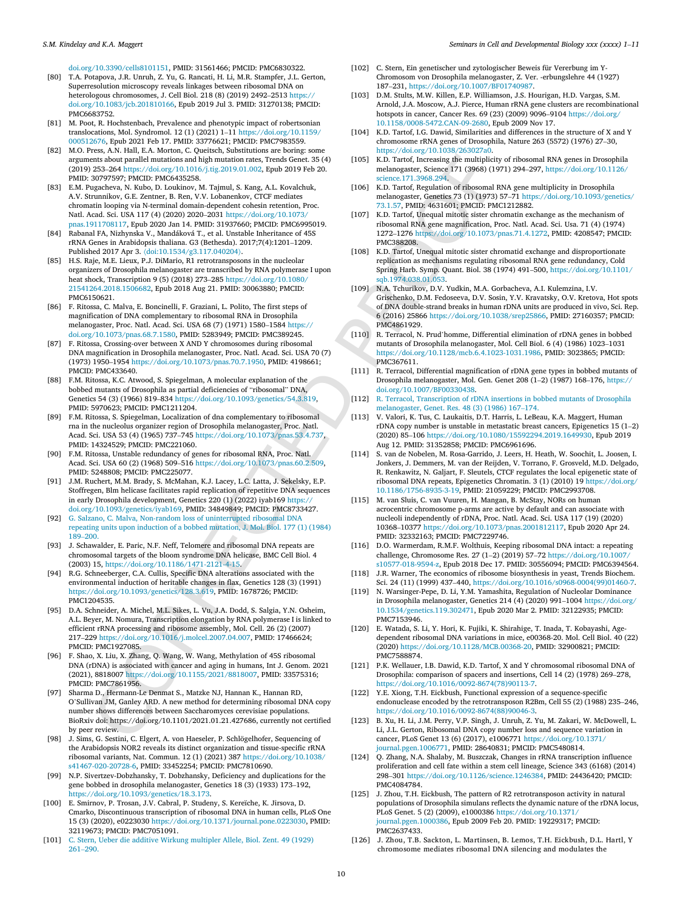[doi.org/10.3390/cells8101151](https://doi.org/10.3390/cells8101151) , PMID : 31561466 ; PMCID: PMC6830322 .

- <span id="page-9-26"></span><span id="page-9-1"></span>[80] T.A. Potapova, J.R. Unruh, Z. Yu, G. Rancati, H. Li, M.R. Stampfer, J.L. Gerton, Superresolutio n microscopy reveal s linkages betwee n ribosoma l DN A on heterologous chromosomes, J. Cell Biol. 218 (8) (2019) 2492–2513 [https://](https://doi.org/10.1083/jcb.201810166) [doi.org/10.1083/jcb.20181016](https://doi.org/10.1083/jcb.201810166) 6 , Epub 2019 Ju l 3. PMID : 31270138 ; PMCID: PMC6683752 .
- <span id="page-9-20"></span><span id="page-9-14"></span>[81] M. Poot, R. Hochstenbach, Prevalence and phenotypic impact of robertsonian translocations , Mol. Syndromol. 12 ( 1 ) (2021 ) 1 –11 [https://doi.org/10.1159/](https://doi.org/10.1159/000512676) [00051267](https://doi.org/10.1159/000512676) 6 , Epub 2021 Fe b 17 . PMID : 33776621 ; PMCID: PMC7983559 .
- <span id="page-9-27"></span>[82] M.O. Press, A.N. Hall, E.A. Morton, C. Queitsch, Substitutions are boring: some argument s abou t parallel mutation s an d high mutation rate s , Trends Genet. 35 ( 4 ) (2019 ) 25 3 –26 4 [https://doi.org/10.1016/j.tig.2019.01.00](https://doi.org/10.1016/j.tig.2019.01.002) 2 , Epub 2019 Fe b 20 . PMID : 30797597 ; PMCID: PMC6435258 .
- <span id="page-9-4"></span>[83] E.M. Pugacheva, N. Kubo, D. Loukinov, M. Tajmul, S. Kang, A.L. Kovalchuk, A . V . Strunnikov , G . E . Zentne r , B . Re n , V . V . Lobanenkov , CTCF mediates chromati n loopin g vi a N -terminal domain -dependen t cohesi n retentio n , Proc . Natl . Acad . Sci. US A 11 7 ( 4 ) (2020 ) 2020 –2031 [https://doi.org/10.1073/](https://doi.org/10.1073/pnas.1911708117) [pnas.191170811](https://doi.org/10.1073/pnas.1911708117)7, Epub 2020 Jan 14. PMID: 31937660; PMCID: PMC6995019.
- <span id="page-9-12"></span>[84] Rabanal FA, Nizhynska V., Mandáková T., et al. Unstable Inheritance of 45S rRNA Genes in Arabidopsis thaliana. G3 (Bethesda). 2017;7(4):1201–1209. Published 2017 Apr 3. (doi[:10.1534/g3.117.04020](https://doi.org/10.1534/g3.117.040204)4).
- <span id="page-9-11"></span>and abiliar methods and this particle with the control in the control in the control in the control in the control in the control in the control in the control in the control in the control in the control in the control i [85] H.S. Raje, M.E. Lieux, P.J. DiMario, R1 retrotransposons in the nucleolar organizers of Drosophila melanogaster ar e transcribe d by RN A polymerase I upon heat shoc k , Transcriptio n 9 ( 5 ) (2018 ) 27 3 –28 5 [https://doi.org/10.1080/](https://doi.org/10.1080/21541264.2018.1506682) [21541264.2018.150668](https://doi.org/10.1080/21541264.2018.1506682) 2 , Epub 2018 Au g 21 . PMID : 30063880 ; PMCID: PMC6150621 .
- <span id="page-9-22"></span><span id="page-9-10"></span>[86] F. Ritossa, C. Malva, E. Boncinelli, F. Graziani, L. Polito, The first steps of magnificatio n of DN A complementar y to ribosoma l RN A in Drosophila melanogaster, Proc. Natl. Acad. Sci. USA 68 (7) (1971) 1580–1584 [https://](https://doi.org/10.1073/pnas.68.7.1580) [doi.org/10.1073/pnas.68.7.1580](https://doi.org/10.1073/pnas.68.7.1580) , PMID : 5283949; PMCID: PMC38924 5 .
- <span id="page-9-17"></span>[87] F . Ritoss a , Crossing -over betwee n X AN D Y chromosome s during ribosoma l DN A magnificatio n in Drosophila melanogaster , Proc . Natl . Acad . Sci. US A 70 ( 7 ) (1973 ) 1950 –1954 <https://doi.org/10.1073/pnas.70.7.1950> , PMID : 4198661; PMCID: PMC43364 0 .
- <span id="page-9-18"></span><span id="page-9-3"></span>[88] F.M. Ritossa, K.C. Atwood, S. Spiegelman, A molecular explanation of the bobbed mutant s of Drosophila as partia l deficiencies of " ribosomal " DN A , Genetics 54 (3) (1966) 819–834 https://doi.org/10.1093/genetics/54.3.819, PMID : 5970623; PMCID: PMC1211204 .
- <span id="page-9-7"></span>[89] F.M. Ritossa, S. Spiegelman, Localization of dna complementary to ribosomal rna in the nucleolus organizer region of Drosophila melanogaster, Proc. Natl. Acad . Sci. US A 53 ( 4 ) (1965 ) 73 7 –74 5 https://doi.org/10.1073/pnas.53.4.73 7 , PMID : 14324529 ; PMCID: PMC22106 0 .
- <span id="page-9-23"></span>[90] F.M. Ritossa, Unstable redundancy of genes for ribosomal RNA, Proc. Natl. Acad . Sci. US A 60 ( 2 ) (1968 ) 50 9 –51 6 https://doi.org/10.1073/pnas.60.2.50 9 , PMID : 5248808; PMCID: PMC22507 7 .
- <span id="page-9-13"></span>[91] J.M. Ruchert, M.M. Brady, S. McMahan, K.J. Lacey, L.C. Latta, J. Sekelsky, E.P. Stoffregen , Bl m helicase facilitate s rapi d replicatio n of repetitive DN A sequence s in early Drosophila development, Genetics 220 (1) (2022) iyab169 https:// doi.org/10.1093/genetics /iyab16 9 , PMID : 34849849 ; PMCID: PMC8733427 .
- <span id="page-9-21"></span><span id="page-9-16"></span>[92] G. Salzano, C. Malva, Non-random loss of uninterrupted ribosomal DNA repeatin g unit s upon inductio n of a bobbed mutation , J. Mol. Biol . 17 7 ( 1 ) (1984 ) 18 9 –20 0 .
- <span id="page-9-24"></span>[93] J . Schawalder , E . Pari c , N . F . Neff, Telomere an d ribosoma l DN A repeat s ar e chromosoma l target s of th e bloo m syndrome DN A helicase , BM C Cell Biol . 4 (2003 ) 15 , https://doi.org/10.1186/1471 -2121 - 4 -15 .
- <span id="page-9-25"></span><span id="page-9-5"></span>[94] R.G. Schneeberger, C.A. Cullis, Specific DNA alterations associated with the environmenta l inductio n of heritabl e change s in flax , Genetics 12 8 ( 3 ) (1991 ) https://doi.org/10.1093/genetics /128.3.61 9 , PMID : 1678726; PMCID: PMC1204535 .
- <span id="page-9-9"></span>[95] D.A. Schneider, A. Michel, M.L. Sikes, L. Vu, J.A. Dodd, S. Salgia, Y.N. Osheim, A . L . Beye r , M . Nomura , Transcriptio n elongation by RN A polymerase I is linked to efficien t rRNA processing an d ribosome assembly , Mol. Cell . 26 ( 2 ) (2007 ) 21 7 –22 9 https://doi.org/10.1016/j.molcel.2007.04.007 , PMID : 17466624 ; PMCID: PMC1927085 .
- <span id="page-9-15"></span>[96] F. Shao, X. Liu, X. Zhang, Q. Wang, W. Wang, Methylation of 45S ribosomal DN A (rDNA) is associated with cancer an d agin g in humans , In t J. Genom. 2021 (2021 ) , 881800 7 https://doi.org/10.1155/2021 /881800 7 , PMID : 33575316 ; PMCID: PMC7861956 .
- <span id="page-9-6"></span>[97] Sharma D., Hermann-Le Denmat S., Matzke NJ, Hannan K., Hannan RD, O 'Sullivan JM , Ganley ARD. A ne w method fo r determinin g ribosoma l DN A copy number show s difference s betwee n Saccharomyce s cerevisiae populations. BioRxi v doi: https://doi.org/10.1101/2021.01.21.427686, currentl y no t certifie d by peer review .
- <span id="page-9-8"></span>[98] J . Sims , G . Sestin i , C . Elgert , A . vo n Haeseler , P . Schlögelhofe r , Sequencing of the Arabidopsis NOR2 reveals its distinct organization and tissue-specific rRNA ribosoma l variants , Nat. Commun . 12 ( 1 ) (2021 ) 38 7 [https://doi.org/10.1038/](https://doi.org/10.1038/s41467-020-20728-6) [s41467](https://doi.org/10.1038/s41467-020-20728-6) -02 0 -2072 8 - 6 , PMID : 33452254 ; PMCID: PMC7810690 .
- <span id="page-9-0"></span>[99] N . P . Sivertze v -Dobzhansky , T . Dobzhansky , Deficiency an d duplications fo r th e gene bobbed in drosophila melanogaster , Genetics 18 ( 3 ) (1933 ) 17 3 –19 2 , [https://doi.org/10.1093/genetics](https://doi.org/10.1093/genetics/18.3.173) /18.3.173 .
- <span id="page-9-19"></span>[100] E. Smirnov, P. Trosan, J.V. Cabral, P. Studeny, S. Kereïche, K. Jirsova, D. Cmarko , Discontinuou s transcriptio n of ribosoma l DN A in huma n cell s , PLoS On e 15 ( 3 ) (2020 ) , e0223030 <https://doi.org/10.1371/journal.pone.0223030> , PMID : 32119673 ; PMCID: PMC7051091 .
- <span id="page-9-2"></span>[101 ] C . Ster n , Uebe r di e additive Wirkun g [multiple](http://refhub.elsevier.com/S1084-9521(22)00163-X/sbref97) r Allele , Biol . Zent . 49 (1929 ) 26 1 –[29](http://refhub.elsevier.com/S1084-9521(22)00163-X/sbref97) 0 .
- [102] C. Stern, Ein genetischer und zytologischer Beweis für Vererbung im Y-Chromoso m vo n Drosophila melanogaster , Z. Ver. -erbungslehre 44 (1927 ) 18 7 –23 1 , <https://doi.org/10.1007/BF01740987> .
- [103] D.M. Stults, M.W. Killen, E.P. Williamson, J.S. Hourigan, H.D. Vargas, S.M. Arnold, J.A. Moscow, A.J. Pierce, Human rRNA gene clusters are recombinational hotspots in cancer , Cancer Res. 69 (23 ) (2009 ) 9096 –9104 [https://doi.org/](https://doi.org/10.1158/0008-5472.CAN-09-2680) [10.1158/0008](https://doi.org/10.1158/0008-5472.CAN-09-2680) -5472.CAN -09 -2680 , Epub 2009 No v 17 .
- [104] K.D. Tartof, I.G. Dawid, Similarities and differences in the structure of X and Y chromosome rRNA gene s of Drosophila , Nature 26 3 (5572 ) (1976 ) 27 –30 , <https://doi.org/10.1038/263027a0> .
- [105 ] K . D . Tartof, Increasing th e multiplicity of ribosoma l RN A gene s in Drosophila melanogaster , Scienc e 17 1 (3968 ) (1971 ) 29 4 –29 7 , [https://doi.org/10.1126/](https://doi.org/10.1126/science.171.3968.294) science.171.3968.294 .
- [106 ] K . D . Tartof, Regulation of ribosoma l RN A gene multiplicity in Drosophila melanogaster , Genetics 73 ( 1 ) (1973 ) 57 –71 [https://doi.org/10.1093/genetics](https://doi.org/10.1093/genetics/73.1.57) / 73.1.5 7 , PMID : 4631601; PMCID: PMC1212882 .
- [107] K.D. Tartof, Unequal mitotic sister chromatin exchange as the mechanism of ribosoma l RN A gene magnificatio n , Proc . Natl . Acad . Sci. Usa. 71 ( 4 ) (1974 ) 1272 –1276 <https://doi.org/10.1073/pnas.71.4.1272> , PMID : 4208547; PMCID: PMC38820 8 .
- [108 ] K . D . Tartof, Unequa l mitoti c sister chromati d exchange an d disproportionate replicatio n as mechanisms regulating ribosoma l RN A gene redundancy , Cold Spring Harb . Symp . Quant. Biol . 38 (1974 ) 49 1 –50 0 , [https://doi.org/10.1101/](https://doi.org/10.1101/sqb.1974.038.01.053) sqb.1974.038.01.05 3 .
- [109] N.A. Tchurikov, D.V. Yudkin, M.A. Gorbacheva, A.I. Kulemzina, I.V. Grischenko, D.M. Fedoseeva, D.V. Sosin, Y.V. Kravatsky, O.V. Kretova, Hot spots of DN A double -strand breaks in huma n rDNA unit s ar e produced in vivo , Sci. Rep. 6 (2016 ) 2586 6 [https://doi.org/10.1038/srep2586](https://doi.org/10.1038/srep25866) 6 , PMID : 27160357 ; PMCID: PMC4861929 .
- [110 ] R . Terracol , N . Prud ' homme , Differential eliminatio n of rDNA gene s in bobbed mutant s of Drosophila melanogaster , Mol. Cell Biol . 6 ( 4 ) (1986 ) 1023 –1031 https://doi.org/10.1128/mcb.6.4.1023 -1031.198 6 , PMID : 3023865; PMCID: PMC36761 1 .
- [111] R. Terracol, Differential magnification of rDNA gene types in bobbed mutants of Drosophila melanogaster, Mol. Gen. Genet 208 (1–2) (1987) 168–176, [https://](https://doi.org/10.1007/BF00330438) [doi.org/10.1007/BF00330438](https://doi.org/10.1007/BF00330438) .
- [112 ] R . Terracol , [Transcriptio](http://refhub.elsevier.com/S1084-9521(22)00163-X/sbref108) n of rDNA insertions in bobbed mutant s of Drosophila [melanogaster](http://refhub.elsevier.com/S1084-9521(22)00163-X/sbref108) , Genet. Res. 48 ( 3 ) (1986 ) 16 7 –17 4 .
- [113] V. Valori, K. Tus, C. Laukaitis, D.T. Harris, L. LeBeau, K.A. Maggert, Human rDNA copy number is unstable in metastatic breast cancer s , Epigenetic s 15 ( 1 – 2 ) (2020 ) 85 –10 6 [https://doi.org/10.1080/15592294.2019.164993](https://doi.org/10.1080/15592294.2019.1649930) 0 , Epub 2019 Au g 12 . PMID : 31352858 ; PMCID: PMC6961696 .
- [114] S. van de Nobelen, M. Rosa-Garrido, J. Leers, H. Heath, W. Soochit, L. Joosen, I. Jonkers, J. Demmers, M. van der Reijden, V. Torrano, F. Grosveld, M.D. Delgado, R. Renkawitz, N. Galjart, F. Sleutels, CTCF regulates the local epigenetic state of ribosoma l DN A repeat s , Epigenetic s Chromatin. 3 ( 1 ) (2010 ) 19 [https://doi.org/](https://doi.org/10.1186/1756-8935-3-19) [10.1186/1756](https://doi.org/10.1186/1756-8935-3-19) -8935 - 3 -19 , PMID : 21059229 ; PMCID: PMC2993708 .
- [115] M. van Sluis, C. van Vuuren, H. Mangan, B. McStay, NORs on human acrocentri c chromosome p -arms ar e active by defaul t an d ca n associat e with nucleoli independentl y of rDNA , Proc . Natl . Acad . Sci. US A 11 7 (19 ) (2020 ) 1036 8 –1037 7 [https://doi.org/10.1073/pnas.200181211](https://doi.org/10.1073/pnas.2001812117) 7 , Epub 2020 Ap r 24 . PMID: 32332163; PMCID: PMC7229746.
- [116 ] D . O . Warmerda m , R . M . F . Wolthuis , Keepin g ribosoma l DN A intact : a repeatin g challeng e , Chromosome Res. 27 ( 1 – 2 ) (2019 ) 57 –72 [https://doi.org/10.1007/](https://doi.org/10.1007/s10577-018-9594-z) [s10577](https://doi.org/10.1007/s10577-018-9594-z)-018-9594-z, Epub 2018 Dec 17. PMID: 30556094; PMCID: PMC6394564.
- [118] J.R. Warner, The economics of ribosome biosynthesis in yeast, Trends Biochem. Sci. 24 (11) (1999) 437–440, [https://doi.org/10.1016/s096](https://doi.org/10.1016/s0968-0004(99)01460-7)8-0004(99)01460-7.
- [119] N. Warsinger-Pepe, D. Li, Y.M. Yamashita, Regulation of Nucleolar Dominance in Drosophila melanogaster , Genetics 21 4 ( 4 ) (2020 ) 99 1 –1004 [https://doi.org/](https://doi.org/10.1534/genetics.119.302471) [10.1534/genetics.119.30247](https://doi.org/10.1534/genetics.119.302471) 1 , Epub 2020 Ma r 2. PMID : 32122935 ; PMCID: PMC7153946 .
- [120] E. Watada, S. Li, Y. Hori, K. Fujiki, K. Shirahige, T. Inada, T. Kobayashi, Agedependen t ribosoma l DN A variations in mice , e00368 -20 . Mol. Cell Biol . 40 (22 ) (2020 ) [https://doi.org/10.1128/MCB.0036](https://doi.org/10.1128/MCB.00368-20) 8 -20 , PMID : 32900821 ; PMCID: PMC7588874 .
- [121] P.K. Wellauer, I.B. Dawid, K.D. Tartof, X and Y chromosomal ribosomal DNA of Drosophila : comparison of spacer s an d insertions , Cell 14 ( 2 ) (1978 ) 26 9 –27 8 , [https://doi.org/10.1016/0092](https://doi.org/10.1016/0092-8674(78)90113-7) -8674(78)9011 3 - 7 .
- [122] Y.E. Xiong, T.H. Eickbush, Functional expression of a sequence-specific endonuclease encode d by th e retrotransposo n R2Bm , Cell 55 ( 2 ) (1988 ) 23 5 –24 6 , [https://doi.org/10.1016/0092](https://doi.org/10.1016/0092-8674(88)90046-3) -8674(88)9004 6 - 3 .
- [123] B. Xu, H. Li, J.M. Perry, V.P. Singh, J. Unruh, Z. Yu, M. Zakari, W. McDowell, L. Li , J . L . Gerton , Ribosoma l DN A copy number loss an d sequence variatio n in cancer , PLoS Gene t 13 ( 6 ) (2017 ) , e1006771 [https://doi.org/10.1371/](https://doi.org/10.1371/journal.pgen.1006771) [journal.pgen.1006771](https://doi.org/10.1371/journal.pgen.1006771) , PMID : 28640831 ; PMCID: PMC5480814 .
- [124] Q. Zhang, N.A. Shalaby, M. Buszczak, Changes in rRNA transcription influence proliferatio n an d cell fate within a stem cell lineag e , Scienc e 34 3 (6168 ) (2014 ) 29 8 –30 1 [https://doi.org/10.1126/science.124638](https://doi.org/10.1126/science.1246384) 4 , PMID : 24436420 ; PMCID: PMC4084784 .
- [125] J. Zhou, T.H. Eickbush, The pattern of R2 retrotransposon activity in natural population s of Drosophila simulans reflects th e dynami c nature of th e rDNA locu s , PLoS Genet. 5 (2) (2009), e1000386 [https://doi.org/10.1371/](https://doi.org/10.1371/journal.pgen.1000386) [journal.pgen.1000386](https://doi.org/10.1371/journal.pgen.1000386) , Epub 2009 Fe b 20 . PMID : 19229317 ; PMCID: PMC2637433 .
- [126] J. Zhou, T.B. Sackton, L. Martinsen, B. Lemos, T.H. Eickbush, D.L. Hartl, Y chromosome mediates ribosoma l DN A silencin g an d modulate s th e